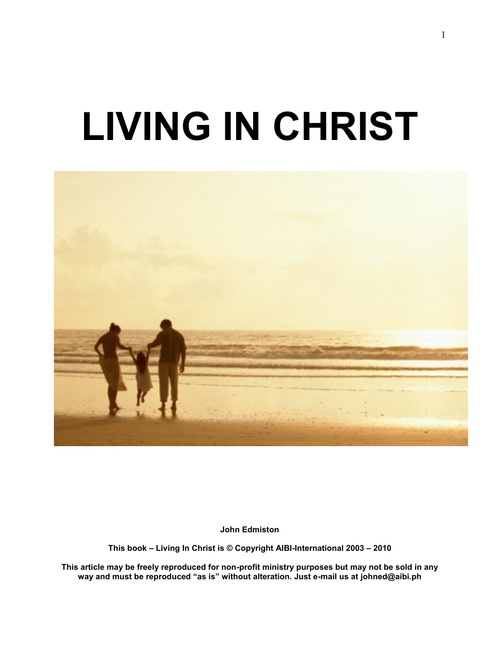# **LIVING IN CHRIST**



**John Edmiston**

**This book – Living In Christ is © Copyright AIBI-International 2003 – 2010**

**This article may be freely reproduced for non-profit ministry purposes but may not be sold in any way and must be reproduced "as is" without alteration. Just e-mail us at [johned@aibi.ph](mailto:johned@aibi.ph)**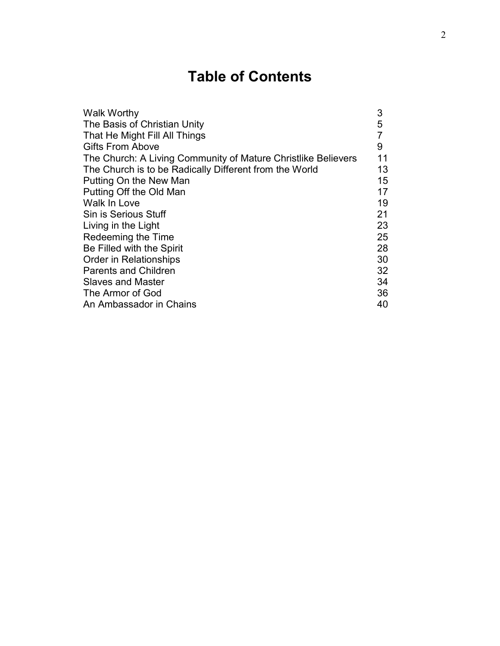# **Table of Contents**

| <b>Walk Worthy</b>                                            | 3  |
|---------------------------------------------------------------|----|
| The Basis of Christian Unity                                  | 5  |
| That He Might Fill All Things                                 |    |
| <b>Gifts From Above</b>                                       | 9  |
| The Church: A Living Community of Mature Christlike Believers | 11 |
| The Church is to be Radically Different from the World        | 13 |
| Putting On the New Man                                        | 15 |
| Putting Off the Old Man                                       | 17 |
| Walk In Love                                                  | 19 |
| Sin is Serious Stuff                                          | 21 |
| Living in the Light                                           | 23 |
| Redeeming the Time                                            | 25 |
| Be Filled with the Spirit                                     | 28 |
| <b>Order in Relationships</b>                                 | 30 |
| <b>Parents and Children</b>                                   | 32 |
| <b>Slaves and Master</b>                                      | 34 |
| The Armor of God                                              | 36 |
| An Ambassador in Chains                                       | 40 |
|                                                               |    |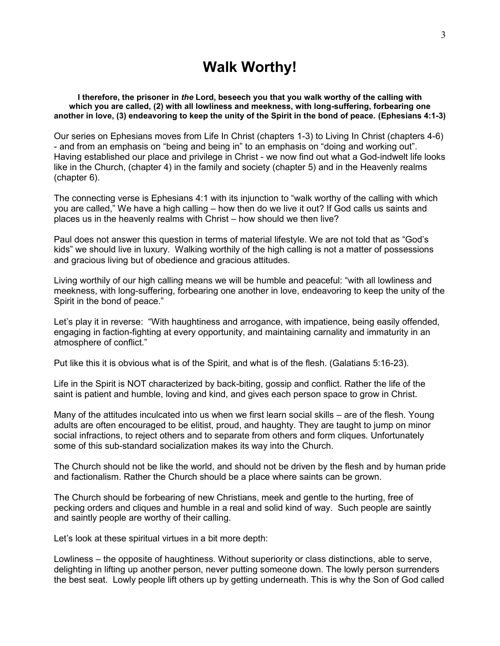# **Walk Worthy!**

**I therefore, the prisoner in** *the* **Lord, beseech you that you walk worthy of the calling with which you are called, (2) with all lowliness and meekness, with long-suffering, forbearing one another in love, (3) endeavoring to keep the unity of the Spirit in the bond of peace. (Ephesians 4:1-3)**

Our series on Ephesians moves from Life In Christ (chapters 1-3) to Living In Christ (chapters 4-6) - and from an emphasis on "being and being in" to an emphasis on "doing and working out". Having established our place and privilege in Christ - we now find out what a God-indwelt life looks like in the Church, (chapter 4) in the family and society (chapter 5) and in the Heavenly realms (chapter 6).

The connecting verse is Ephesians 4:1 with its injunction to "walk worthy of the calling with which you are called," We have a high calling – how then do we live it out? If God calls us saints and places us in the heavenly realms with Christ – how should we then live?

Paul does not answer this question in terms of material lifestyle. We are not told that as "God"s kids" we should live in luxury. Walking worthily of the high calling is not a matter of possessions and gracious living but of obedience and gracious attitudes.

Living worthily of our high calling means we will be humble and peaceful: "with all lowliness and meekness, with long-suffering, forbearing one another in love, endeavoring to keep the unity of the Spirit in the bond of peace."

Let"s play it in reverse: "With haughtiness and arrogance, with impatience, being easily offended, engaging in faction-fighting at every opportunity, and maintaining carnality and immaturity in an atmosphere of conflict."

Put like this it is obvious what is of the Spirit, and what is of the flesh. (Galatians 5:16-23).

Life in the Spirit is NOT characterized by back-biting, gossip and conflict. Rather the life of the saint is patient and humble, loving and kind, and gives each person space to grow in Christ.

Many of the attitudes inculcated into us when we first learn social skills – are of the flesh. Young adults are often encouraged to be elitist, proud, and haughty. They are taught to jump on minor social infractions, to reject others and to separate from others and form cliques. Unfortunately some of this sub-standard socialization makes its way into the Church.

The Church should not be like the world, and should not be driven by the flesh and by human pride and factionalism. Rather the Church should be a place where saints can be grown.

The Church should be forbearing of new Christians, meek and gentle to the hurting, free of pecking orders and cliques and humble in a real and solid kind of way. Such people are saintly and saintly people are worthy of their calling.

Let"s look at these spiritual virtues in a bit more depth:

Lowliness – the opposite of haughtiness. Without superiority or class distinctions, able to serve, delighting in lifting up another person, never putting someone down. The lowly person surrenders the best seat. Lowly people lift others up by getting underneath. This is why the Son of God called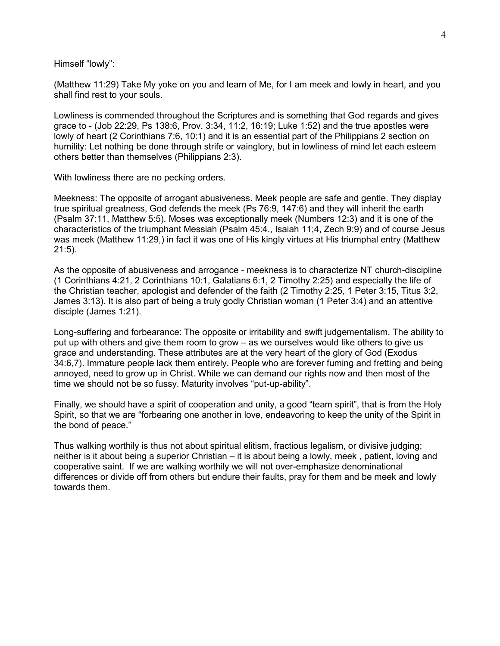Himself "lowly":

(Matthew 11:29) Take My yoke on you and learn of Me, for I am meek and lowly in heart, and you shall find rest to your souls.

Lowliness is commended throughout the Scriptures and is something that God regards and gives grace to - (Job 22:29, Ps 138:6, Prov. 3:34, 11:2, 16:19; Luke 1:52) and the true apostles were lowly of heart (2 Corinthians 7:6, 10:1) and it is an essential part of the Philippians 2 section on humility: Let nothing be done through strife or vainglory, but in lowliness of mind let each esteem others better than themselves (Philippians 2:3).

With lowliness there are no pecking orders.

Meekness: The opposite of arrogant abusiveness. Meek people are safe and gentle. They display true spiritual greatness, God defends the meek (Ps 76:9, 147:6) and they will inherit the earth (Psalm 37:11, Matthew 5:5). Moses was exceptionally meek (Numbers 12:3) and it is one of the characteristics of the triumphant Messiah (Psalm 45:4., Isaiah 11;4, Zech 9:9) and of course Jesus was meek (Matthew 11:29,) in fact it was one of His kingly virtues at His triumphal entry (Matthew 21:5).

As the opposite of abusiveness and arrogance - meekness is to characterize NT church-discipline (1 Corinthians 4:21, 2 Corinthians 10:1, Galatians 6:1, 2 Timothy 2:25) and especially the life of the Christian teacher, apologist and defender of the faith (2 Timothy 2:25, 1 Peter 3:15, Titus 3:2, James 3:13). It is also part of being a truly godly Christian woman (1 Peter 3:4) and an attentive disciple (James 1:21).

Long-suffering and forbearance: The opposite or irritability and swift judgementalism. The ability to put up with others and give them room to grow – as we ourselves would like others to give us grace and understanding. These attributes are at the very heart of the glory of God (Exodus 34:6,7). Immature people lack them entirely. People who are forever fuming and fretting and being annoyed, need to grow up in Christ. While we can demand our rights now and then most of the time we should not be so fussy. Maturity involves "put-up-ability".

Finally, we should have a spirit of cooperation and unity, a good "team spirit", that is from the Holy Spirit, so that we are "forbearing one another in love, endeavoring to keep the unity of the Spirit in the bond of peace."

Thus walking worthily is thus not about spiritual elitism, fractious legalism, or divisive judging; neither is it about being a superior Christian – it is about being a lowly, meek , patient, loving and cooperative saint. If we are walking worthily we will not over-emphasize denominational differences or divide off from others but endure their faults, pray for them and be meek and lowly towards them.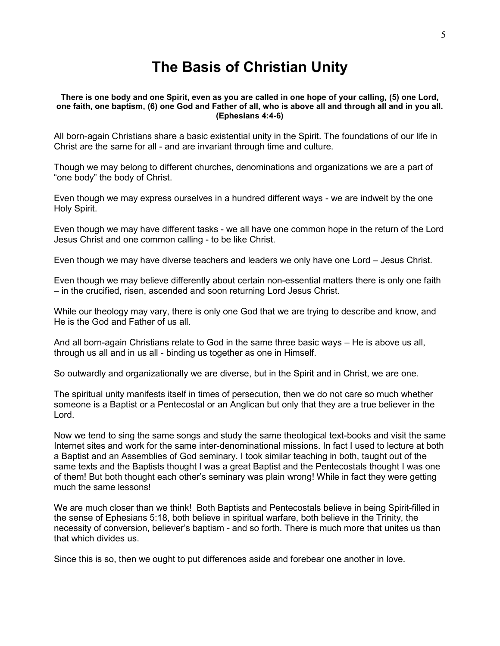# **The Basis of Christian Unity**

#### **There is one body and one Spirit, even as you are called in one hope of your calling, (5) one Lord, one faith, one baptism, (6) one God and Father of all, who is above all and through all and in you all. (Ephesians 4:4-6)**

All born-again Christians share a basic existential unity in the Spirit. The foundations of our life in Christ are the same for all - and are invariant through time and culture.

Though we may belong to different churches, denominations and organizations we are a part of "one body" the body of Christ.

Even though we may express ourselves in a hundred different ways - we are indwelt by the one Holy Spirit.

Even though we may have different tasks - we all have one common hope in the return of the Lord Jesus Christ and one common calling - to be like Christ.

Even though we may have diverse teachers and leaders we only have one Lord – Jesus Christ.

Even though we may believe differently about certain non-essential matters there is only one faith – in the crucified, risen, ascended and soon returning Lord Jesus Christ.

While our theology may vary, there is only one God that we are trying to describe and know, and He is the God and Father of us all.

And all born-again Christians relate to God in the same three basic ways – He is above us all, through us all and in us all - binding us together as one in Himself.

So outwardly and organizationally we are diverse, but in the Spirit and in Christ, we are one.

The spiritual unity manifests itself in times of persecution, then we do not care so much whether someone is a Baptist or a Pentecostal or an Anglican but only that they are a true believer in the Lord.

Now we tend to sing the same songs and study the same theological text-books and visit the same Internet sites and work for the same inter-denominational missions. In fact I used to lecture at both a Baptist and an Assemblies of God seminary. I took similar teaching in both, taught out of the same texts and the Baptists thought I was a great Baptist and the Pentecostals thought I was one of them! But both thought each other"s seminary was plain wrong! While in fact they were getting much the same lessons!

We are much closer than we think! Both Baptists and Pentecostals believe in being Spirit-filled in the sense of Ephesians 5:18, both believe in spiritual warfare, both believe in the Trinity, the necessity of conversion, believer"s baptism - and so forth. There is much more that unites us than that which divides us.

Since this is so, then we ought to put differences aside and forebear one another in love.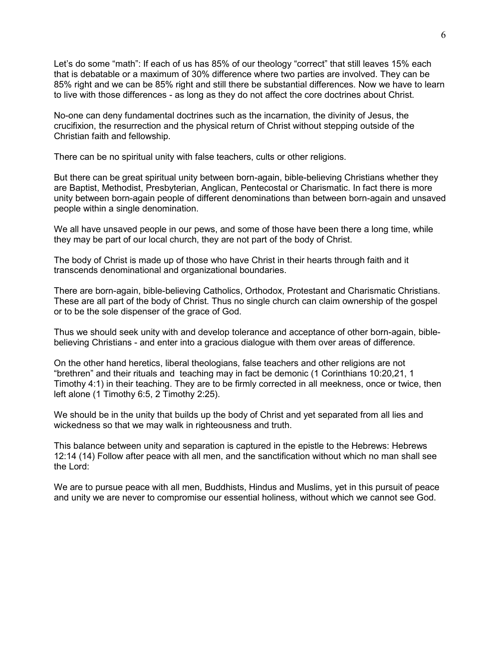Let's do some "math": If each of us has 85% of our theology "correct" that still leaves 15% each that is debatable or a maximum of 30% difference where two parties are involved. They can be 85% right and we can be 85% right and still there be substantial differences. Now we have to learn to live with those differences - as long as they do not affect the core doctrines about Christ.

No-one can deny fundamental doctrines such as the incarnation, the divinity of Jesus, the crucifixion, the resurrection and the physical return of Christ without stepping outside of the Christian faith and fellowship.

There can be no spiritual unity with false teachers, cults or other religions.

But there can be great spiritual unity between born-again, bible-believing Christians whether they are Baptist, Methodist, Presbyterian, Anglican, Pentecostal or Charismatic. In fact there is more unity between born-again people of different denominations than between born-again and unsaved people within a single denomination.

We all have unsaved people in our pews, and some of those have been there a long time, while they may be part of our local church, they are not part of the body of Christ.

The body of Christ is made up of those who have Christ in their hearts through faith and it transcends denominational and organizational boundaries.

There are born-again, bible-believing Catholics, Orthodox, Protestant and Charismatic Christians. These are all part of the body of Christ. Thus no single church can claim ownership of the gospel or to be the sole dispenser of the grace of God.

Thus we should seek unity with and develop tolerance and acceptance of other born-again, biblebelieving Christians - and enter into a gracious dialogue with them over areas of difference.

On the other hand heretics, liberal theologians, false teachers and other religions are not "brethren" and their rituals and teaching may in fact be demonic (1 Corinthians 10:20,21, 1 Timothy 4:1) in their teaching. They are to be firmly corrected in all meekness, once or twice, then left alone (1 Timothy 6:5, 2 Timothy 2:25).

We should be in the unity that builds up the body of Christ and yet separated from all lies and wickedness so that we may walk in righteousness and truth.

This balance between unity and separation is captured in the epistle to the Hebrews: Hebrews 12:14 (14) Follow after peace with all men, and the sanctification without which no man shall see the Lord:

We are to pursue peace with all men, Buddhists, Hindus and Muslims, yet in this pursuit of peace and unity we are never to compromise our essential holiness, without which we cannot see God.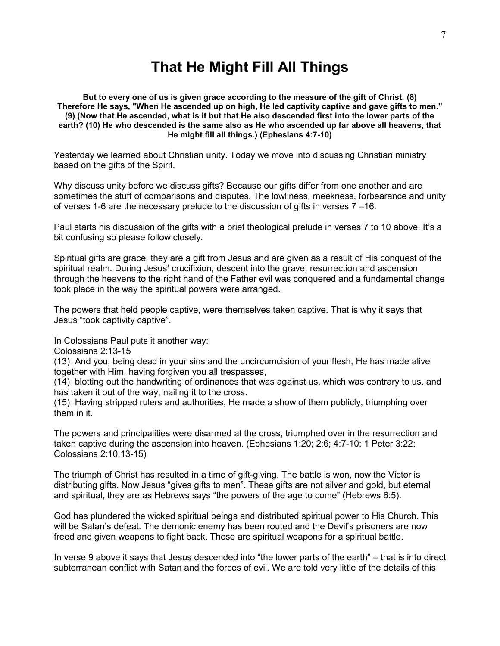# **That He Might Fill All Things**

**But to every one of us is given grace according to the measure of the gift of Christ. (8) Therefore He says, "When He ascended up on high, He led captivity captive and gave gifts to men." (9) (Now that He ascended, what is it but that He also descended first into the lower parts of the earth? (10) He who descended is the same also as He who ascended up far above all heavens, that He might fill all things.) (Ephesians 4:7-10)**

Yesterday we learned about Christian unity. Today we move into discussing Christian ministry based on the gifts of the Spirit.

Why discuss unity before we discuss gifts? Because our gifts differ from one another and are sometimes the stuff of comparisons and disputes. The lowliness, meekness, forbearance and unity of verses 1-6 are the necessary prelude to the discussion of gifts in verses 7 –16.

Paul starts his discussion of the gifts with a brief theological prelude in verses 7 to 10 above. It"s a bit confusing so please follow closely.

Spiritual gifts are grace, they are a gift from Jesus and are given as a result of His conquest of the spiritual realm. During Jesus' crucifixion, descent into the grave, resurrection and ascension through the heavens to the right hand of the Father evil was conquered and a fundamental change took place in the way the spiritual powers were arranged.

The powers that held people captive, were themselves taken captive. That is why it says that Jesus "took captivity captive".

In Colossians Paul puts it another way:

Colossians 2:13-15

(13) And you, being dead in your sins and the uncircumcision of your flesh, He has made alive together with Him, having forgiven you all trespasses,

(14) blotting out the handwriting of ordinances that was against us, which was contrary to us, and has taken it out of the way, nailing it to the cross.

(15) Having stripped rulers and authorities, He made a show of them publicly, triumphing over them in it.

The powers and principalities were disarmed at the cross, triumphed over in the resurrection and taken captive during the ascension into heaven. (Ephesians 1:20; 2:6; 4:7-10; 1 Peter 3:22; Colossians 2:10,13-15)

The triumph of Christ has resulted in a time of gift-giving. The battle is won, now the Victor is distributing gifts. Now Jesus "gives gifts to men". These gifts are not silver and gold, but eternal and spiritual, they are as Hebrews says "the powers of the age to come" (Hebrews 6:5).

God has plundered the wicked spiritual beings and distributed spiritual power to His Church. This will be Satan's defeat. The demonic enemy has been routed and the Devil's prisoners are now freed and given weapons to fight back. These are spiritual weapons for a spiritual battle.

In verse 9 above it says that Jesus descended into "the lower parts of the earth" – that is into direct subterranean conflict with Satan and the forces of evil. We are told very little of the details of this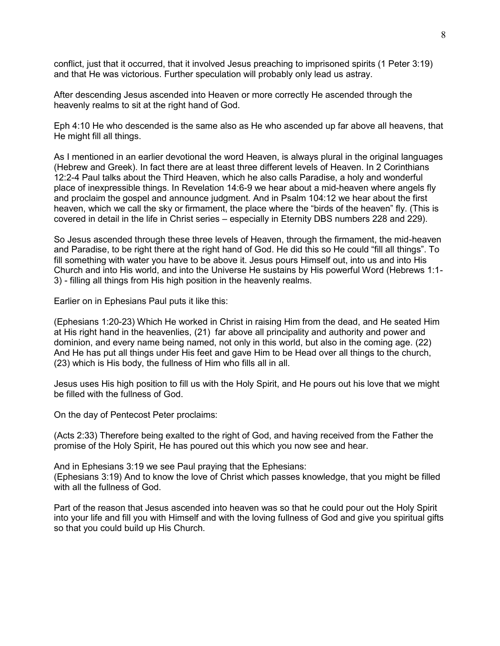conflict, just that it occurred, that it involved Jesus preaching to imprisoned spirits (1 Peter 3:19) and that He was victorious. Further speculation will probably only lead us astray.

After descending Jesus ascended into Heaven or more correctly He ascended through the heavenly realms to sit at the right hand of God.

Eph 4:10 He who descended is the same also as He who ascended up far above all heavens, that He might fill all things.

As I mentioned in an earlier devotional the word Heaven, is always plural in the original languages (Hebrew and Greek). In fact there are at least three different levels of Heaven. In 2 Corinthians 12:2-4 Paul talks about the Third Heaven, which he also calls Paradise, a holy and wonderful place of inexpressible things. In Revelation 14:6-9 we hear about a mid-heaven where angels fly and proclaim the gospel and announce judgment. And in Psalm 104:12 we hear about the first heaven, which we call the sky or firmament, the place where the "birds of the heaven" fly. (This is covered in detail in the life in Christ series – especially in Eternity DBS numbers 228 and 229).

So Jesus ascended through these three levels of Heaven, through the firmament, the mid-heaven and Paradise, to be right there at the right hand of God. He did this so He could "fill all things". To fill something with water you have to be above it. Jesus pours Himself out, into us and into His Church and into His world, and into the Universe He sustains by His powerful Word (Hebrews 1:1- 3) - filling all things from His high position in the heavenly realms.

Earlier on in Ephesians Paul puts it like this:

(Ephesians 1:20-23) Which He worked in Christ in raising Him from the dead, and He seated Him at His right hand in the heavenlies, (21) far above all principality and authority and power and dominion, and every name being named, not only in this world, but also in the coming age. (22) And He has put all things under His feet and gave Him to be Head over all things to the church, (23) which is His body, the fullness of Him who fills all in all.

Jesus uses His high position to fill us with the Holy Spirit, and He pours out his love that we might be filled with the fullness of God.

On the day of Pentecost Peter proclaims:

(Acts 2:33) Therefore being exalted to the right of God, and having received from the Father the promise of the Holy Spirit, He has poured out this which you now see and hear.

And in Ephesians 3:19 we see Paul praying that the Ephesians: (Ephesians 3:19) And to know the love of Christ which passes knowledge, that you might be filled with all the fullness of God.

Part of the reason that Jesus ascended into heaven was so that he could pour out the Holy Spirit into your life and fill you with Himself and with the loving fullness of God and give you spiritual gifts so that you could build up His Church.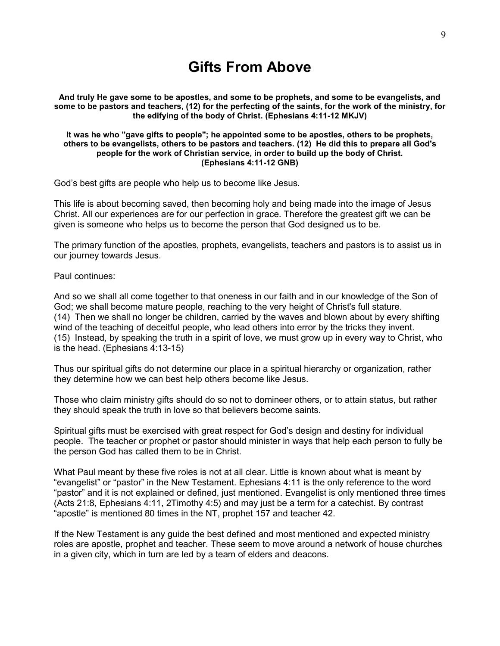# **Gifts From Above**

**And truly He gave some to be apostles, and some to be prophets, and some to be evangelists, and some to be pastors and teachers, (12) for the perfecting of the saints, for the work of the ministry, for the edifying of the body of Christ. (Ephesians 4:11-12 MKJV)**

#### **It was he who "gave gifts to people"; he appointed some to be apostles, others to be prophets, others to be evangelists, others to be pastors and teachers. (12) He did this to prepare all God's people for the work of Christian service, in order to build up the body of Christ. (Ephesians 4:11-12 GNB)**

God"s best gifts are people who help us to become like Jesus.

This life is about becoming saved, then becoming holy and being made into the image of Jesus Christ. All our experiences are for our perfection in grace. Therefore the greatest gift we can be given is someone who helps us to become the person that God designed us to be.

The primary function of the apostles, prophets, evangelists, teachers and pastors is to assist us in our journey towards Jesus.

Paul continues:

And so we shall all come together to that oneness in our faith and in our knowledge of the Son of God; we shall become mature people, reaching to the very height of Christ's full stature. (14) Then we shall no longer be children, carried by the waves and blown about by every shifting wind of the teaching of deceitful people, who lead others into error by the tricks they invent. (15) Instead, by speaking the truth in a spirit of love, we must grow up in every way to Christ, who is the head. (Ephesians 4:13-15)

Thus our spiritual gifts do not determine our place in a spiritual hierarchy or organization, rather they determine how we can best help others become like Jesus.

Those who claim ministry gifts should do so not to domineer others, or to attain status, but rather they should speak the truth in love so that believers become saints.

Spiritual gifts must be exercised with great respect for God"s design and destiny for individual people. The teacher or prophet or pastor should minister in ways that help each person to fully be the person God has called them to be in Christ.

What Paul meant by these five roles is not at all clear. Little is known about what is meant by "evangelist" or "pastor" in the New Testament. Ephesians 4:11 is the only reference to the word "pastor" and it is not explained or defined, just mentioned. Evangelist is only mentioned three times (Acts 21:8, Ephesians 4:11, 2Timothy 4:5) and may just be a term for a catechist. By contrast "apostle" is mentioned 80 times in the NT, prophet 157 and teacher 42.

If the New Testament is any guide the best defined and most mentioned and expected ministry roles are apostle, prophet and teacher. These seem to move around a network of house churches in a given city, which in turn are led by a team of elders and deacons.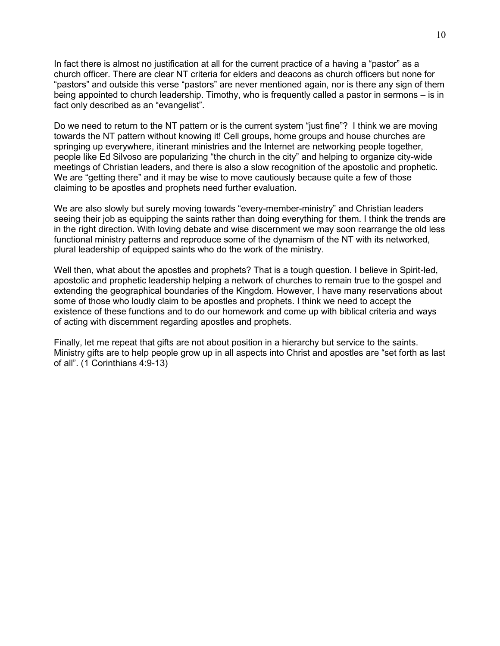In fact there is almost no justification at all for the current practice of a having a "pastor" as a church officer. There are clear NT criteria for elders and deacons as church officers but none for "pastors" and outside this verse "pastors" are never mentioned again, nor is there any sign of them being appointed to church leadership. Timothy, who is frequently called a pastor in sermons – is in fact only described as an "evangelist".

Do we need to return to the NT pattern or is the current system "just fine"? I think we are moving towards the NT pattern without knowing it! Cell groups, home groups and house churches are springing up everywhere, itinerant ministries and the Internet are networking people together, people like Ed Silvoso are popularizing "the church in the city" and helping to organize city-wide meetings of Christian leaders, and there is also a slow recognition of the apostolic and prophetic. We are "getting there" and it may be wise to move cautiously because quite a few of those claiming to be apostles and prophets need further evaluation.

We are also slowly but surely moving towards "every-member-ministry" and Christian leaders seeing their job as equipping the saints rather than doing everything for them. I think the trends are in the right direction. With loving debate and wise discernment we may soon rearrange the old less functional ministry patterns and reproduce some of the dynamism of the NT with its networked, plural leadership of equipped saints who do the work of the ministry.

Well then, what about the apostles and prophets? That is a tough question. I believe in Spirit-led, apostolic and prophetic leadership helping a network of churches to remain true to the gospel and extending the geographical boundaries of the Kingdom. However, I have many reservations about some of those who loudly claim to be apostles and prophets. I think we need to accept the existence of these functions and to do our homework and come up with biblical criteria and ways of acting with discernment regarding apostles and prophets.

Finally, let me repeat that gifts are not about position in a hierarchy but service to the saints. Ministry gifts are to help people grow up in all aspects into Christ and apostles are "set forth as last of all". (1 Corinthians 4:9-13)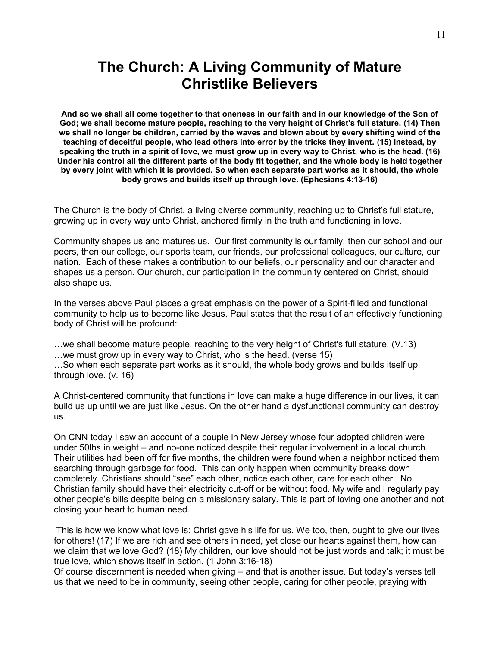# **The Church: A Living Community of Mature Christlike Believers**

**And so we shall all come together to that oneness in our faith and in our knowledge of the Son of God; we shall become mature people, reaching to the very height of Christ's full stature. (14) Then we shall no longer be children, carried by the waves and blown about by every shifting wind of the teaching of deceitful people, who lead others into error by the tricks they invent. (15) Instead, by speaking the truth in a spirit of love, we must grow up in every way to Christ, who is the head. (16) Under his control all the different parts of the body fit together, and the whole body is held together by every joint with which it is provided. So when each separate part works as it should, the whole body grows and builds itself up through love. (Ephesians 4:13-16)**

The Church is the body of Christ, a living diverse community, reaching up to Christ's full stature, growing up in every way unto Christ, anchored firmly in the truth and functioning in love.

Community shapes us and matures us. Our first community is our family, then our school and our peers, then our college, our sports team, our friends, our professional colleagues, our culture, our nation. Each of these makes a contribution to our beliefs, our personality and our character and shapes us a person. Our church, our participation in the community centered on Christ, should also shape us.

In the verses above Paul places a great emphasis on the power of a Spirit-filled and functional community to help us to become like Jesus. Paul states that the result of an effectively functioning body of Christ will be profound:

…we shall become mature people, reaching to the very height of Christ's full stature. (V.13) …we must grow up in every way to Christ, who is the head. (verse 15)

…So when each separate part works as it should, the whole body grows and builds itself up through love. (v. 16)

A Christ-centered community that functions in love can make a huge difference in our lives, it can build us up until we are just like Jesus. On the other hand a dysfunctional community can destroy us.

On CNN today I saw an account of a couple in New Jersey whose four adopted children were under 50lbs in weight – and no-one noticed despite their regular involvement in a local church. Their utilities had been off for five months, the children were found when a neighbor noticed them searching through garbage for food. This can only happen when community breaks down completely. Christians should "see" each other, notice each other, care for each other. No Christian family should have their electricity cut-off or be without food. My wife and I regularly pay other people"s bills despite being on a missionary salary. This is part of loving one another and not closing your heart to human need.

This is how we know what love is: Christ gave his life for us. We too, then, ought to give our lives for others! (17) If we are rich and see others in need, yet close our hearts against them, how can we claim that we love God? (18) My children, our love should not be just words and talk; it must be true love, which shows itself in action. (1 John 3:16-18)

Of course discernment is needed when giving – and that is another issue. But today"s verses tell us that we need to be in community, seeing other people, caring for other people, praying with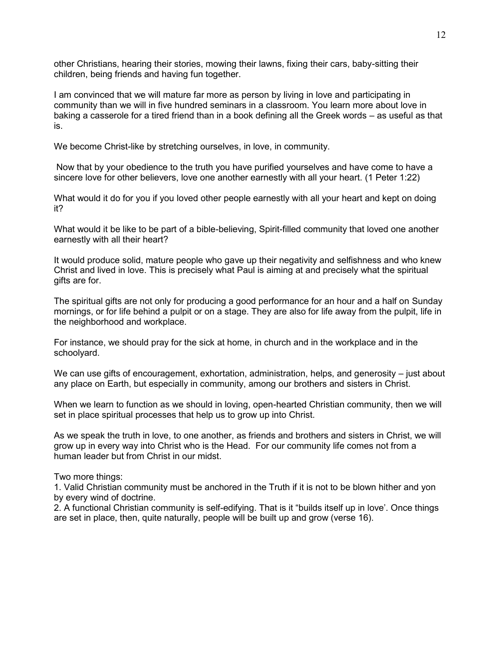other Christians, hearing their stories, mowing their lawns, fixing their cars, baby-sitting their children, being friends and having fun together.

I am convinced that we will mature far more as person by living in love and participating in community than we will in five hundred seminars in a classroom. You learn more about love in baking a casserole for a tired friend than in a book defining all the Greek words – as useful as that is.

We become Christ-like by stretching ourselves, in love, in community.

Now that by your obedience to the truth you have purified yourselves and have come to have a sincere love for other believers, love one another earnestly with all your heart. (1 Peter 1:22)

What would it do for you if you loved other people earnestly with all your heart and kept on doing it?

What would it be like to be part of a bible-believing, Spirit-filled community that loved one another earnestly with all their heart?

It would produce solid, mature people who gave up their negativity and selfishness and who knew Christ and lived in love. This is precisely what Paul is aiming at and precisely what the spiritual gifts are for.

The spiritual gifts are not only for producing a good performance for an hour and a half on Sunday mornings, or for life behind a pulpit or on a stage. They are also for life away from the pulpit, life in the neighborhood and workplace.

For instance, we should pray for the sick at home, in church and in the workplace and in the schoolyard.

We can use gifts of encouragement, exhortation, administration, helps, and generosity – just about any place on Earth, but especially in community, among our brothers and sisters in Christ.

When we learn to function as we should in loving, open-hearted Christian community, then we will set in place spiritual processes that help us to grow up into Christ.

As we speak the truth in love, to one another, as friends and brothers and sisters in Christ, we will grow up in every way into Christ who is the Head. For our community life comes not from a human leader but from Christ in our midst.

Two more things:

1. Valid Christian community must be anchored in the Truth if it is not to be blown hither and yon by every wind of doctrine.

2. A functional Christian community is self-edifying. That is it "builds itself up in love". Once things are set in place, then, quite naturally, people will be built up and grow (verse 16).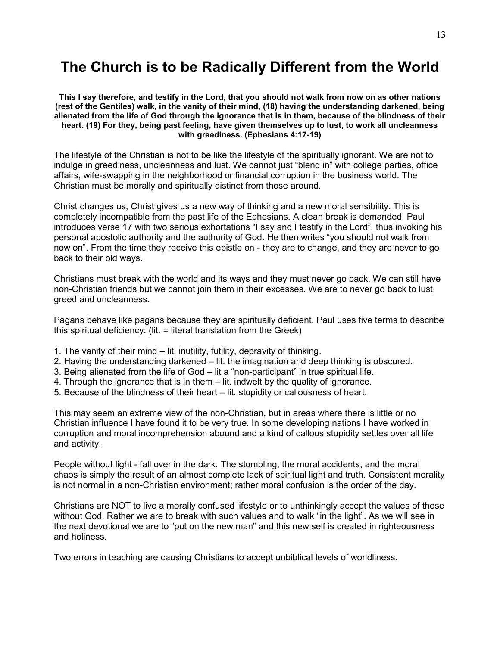# **The Church is to be Radically Different from the World**

**This I say therefore, and testify in the Lord, that you should not walk from now on as other nations (rest of the Gentiles) walk, in the vanity of their mind, (18) having the understanding darkened, being alienated from the life of God through the ignorance that is in them, because of the blindness of their heart. (19) For they, being past feeling, have given themselves up to lust, to work all uncleanness with greediness. (Ephesians 4:17-19)**

The lifestyle of the Christian is not to be like the lifestyle of the spiritually ignorant. We are not to indulge in greediness, uncleanness and lust. We cannot just "blend in" with college parties, office affairs, wife-swapping in the neighborhood or financial corruption in the business world. The Christian must be morally and spiritually distinct from those around.

Christ changes us, Christ gives us a new way of thinking and a new moral sensibility. This is completely incompatible from the past life of the Ephesians. A clean break is demanded. Paul introduces verse 17 with two serious exhortations "I say and I testify in the Lord", thus invoking his personal apostolic authority and the authority of God. He then writes "you should not walk from now on". From the time they receive this epistle on - they are to change, and they are never to go back to their old ways.

Christians must break with the world and its ways and they must never go back. We can still have non-Christian friends but we cannot join them in their excesses. We are to never go back to lust, greed and uncleanness.

Pagans behave like pagans because they are spiritually deficient. Paul uses five terms to describe this spiritual deficiency: (lit. = literal translation from the Greek)

- 1. The vanity of their mind lit. inutility, futility, depravity of thinking.
- 2. Having the understanding darkened lit. the imagination and deep thinking is obscured.
- 3. Being alienated from the life of God lit a "non-participant" in true spiritual life.
- 4. Through the ignorance that is in them lit. indwelt by the quality of ignorance.
- 5. Because of the blindness of their heart lit. stupidity or callousness of heart.

This may seem an extreme view of the non-Christian, but in areas where there is little or no Christian influence I have found it to be very true. In some developing nations I have worked in corruption and moral incomprehension abound and a kind of callous stupidity settles over all life and activity.

People without light - fall over in the dark. The stumbling, the moral accidents, and the moral chaos is simply the result of an almost complete lack of spiritual light and truth. Consistent morality is not normal in a non-Christian environment; rather moral confusion is the order of the day.

Christians are NOT to live a morally confused lifestyle or to unthinkingly accept the values of those without God. Rather we are to break with such values and to walk "in the light". As we will see in the next devotional we are to "put on the new man" and this new self is created in righteousness and holiness.

Two errors in teaching are causing Christians to accept unbiblical levels of worldliness.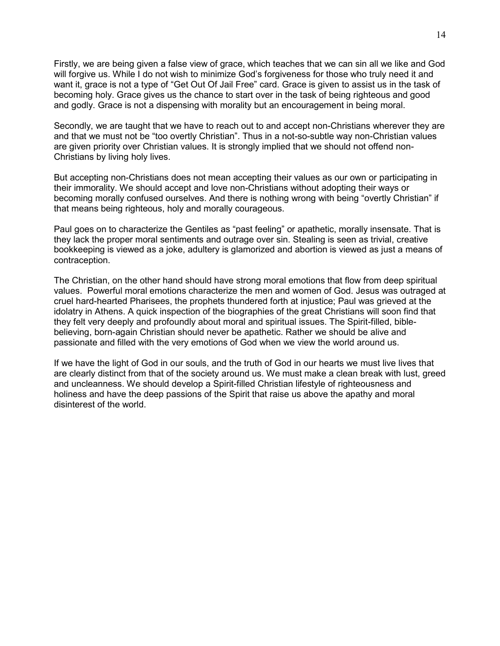Firstly, we are being given a false view of grace, which teaches that we can sin all we like and God will forgive us. While I do not wish to minimize God"s forgiveness for those who truly need it and want it, grace is not a type of "Get Out Of Jail Free" card. Grace is given to assist us in the task of becoming holy. Grace gives us the chance to start over in the task of being righteous and good and godly. Grace is not a dispensing with morality but an encouragement in being moral.

Secondly, we are taught that we have to reach out to and accept non-Christians wherever they are and that we must not be "too overtly Christian". Thus in a not-so-subtle way non-Christian values are given priority over Christian values. It is strongly implied that we should not offend non-Christians by living holy lives.

But accepting non-Christians does not mean accepting their values as our own or participating in their immorality. We should accept and love non-Christians without adopting their ways or becoming morally confused ourselves. And there is nothing wrong with being "overtly Christian" if that means being righteous, holy and morally courageous.

Paul goes on to characterize the Gentiles as "past feeling" or apathetic, morally insensate. That is they lack the proper moral sentiments and outrage over sin. Stealing is seen as trivial, creative bookkeeping is viewed as a joke, adultery is glamorized and abortion is viewed as just a means of contraception.

The Christian, on the other hand should have strong moral emotions that flow from deep spiritual values. Powerful moral emotions characterize the men and women of God. Jesus was outraged at cruel hard-hearted Pharisees, the prophets thundered forth at injustice; Paul was grieved at the idolatry in Athens. A quick inspection of the biographies of the great Christians will soon find that they felt very deeply and profoundly about moral and spiritual issues. The Spirit-filled, biblebelieving, born-again Christian should never be apathetic. Rather we should be alive and passionate and filled with the very emotions of God when we view the world around us.

If we have the light of God in our souls, and the truth of God in our hearts we must live lives that are clearly distinct from that of the society around us. We must make a clean break with lust, greed and uncleanness. We should develop a Spirit-filled Christian lifestyle of righteousness and holiness and have the deep passions of the Spirit that raise us above the apathy and moral disinterest of the world.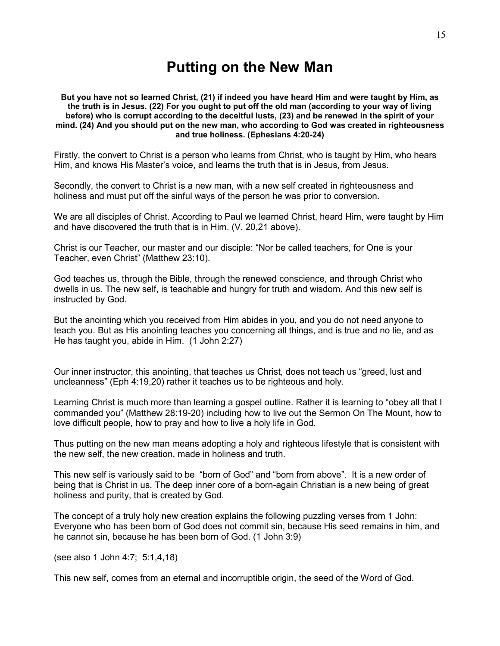# **Putting on the New Man**

#### **But you have not so learned Christ, (21) if indeed you have heard Him and were taught by Him, as the truth is in Jesus. (22) For you ought to put off the old man (according to your way of living before) who is corrupt according to the deceitful lusts, (23) and be renewed in the spirit of your mind. (24) And you should put on the new man, who according to God was created in righteousness and true holiness. (Ephesians 4:20-24)**

Firstly, the convert to Christ is a person who learns from Christ, who is taught by Him, who hears Him, and knows His Master"s voice, and learns the truth that is in Jesus, from Jesus.

Secondly, the convert to Christ is a new man, with a new self created in righteousness and holiness and must put off the sinful ways of the person he was prior to conversion.

We are all disciples of Christ. According to Paul we learned Christ, heard Him, were taught by Him and have discovered the truth that is in Him. (V. 20,21 above).

Christ is our Teacher, our master and our disciple: "Nor be called teachers, for One is your Teacher, even Christ" (Matthew 23:10).

God teaches us, through the Bible, through the renewed conscience, and through Christ who dwells in us. The new self, is teachable and hungry for truth and wisdom. And this new self is instructed by God.

But the anointing which you received from Him abides in you, and you do not need anyone to teach you. But as His anointing teaches you concerning all things, and is true and no lie, and as He has taught you, abide in Him. (1 John 2:27)

Our inner instructor, this anointing, that teaches us Christ, does not teach us "greed, lust and uncleanness" (Eph 4:19,20) rather it teaches us to be righteous and holy.

Learning Christ is much more than learning a gospel outline. Rather it is learning to "obey all that I commanded you" (Matthew 28:19-20) including how to live out the Sermon On The Mount, how to love difficult people, how to pray and how to live a holy life in God.

Thus putting on the new man means adopting a holy and righteous lifestyle that is consistent with the new self, the new creation, made in holiness and truth.

This new self is variously said to be "born of God" and "born from above". It is a new order of being that is Christ in us. The deep inner core of a born-again Christian is a new being of great holiness and purity, that is created by God.

The concept of a truly holy new creation explains the following puzzling verses from 1 John: Everyone who has been born of God does not commit sin, because His seed remains in him, and he cannot sin, because he has been born of God. (1 John 3:9)

(see also 1 John 4:7; 5:1,4,18)

This new self, comes from an eternal and incorruptible origin, the seed of the Word of God.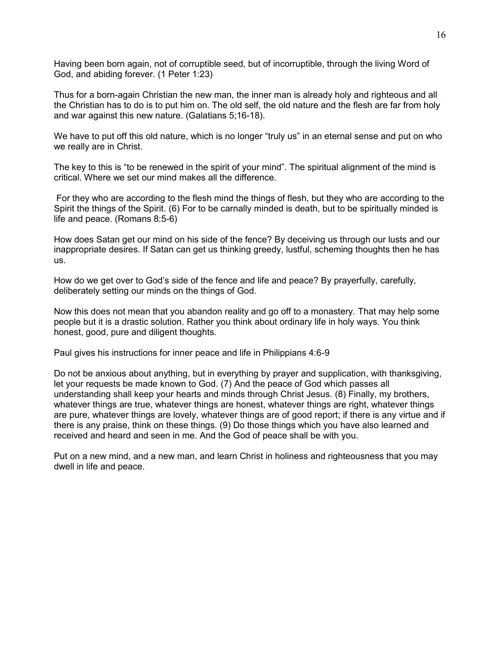Having been born again, not of corruptible seed, but of incorruptible, through the living Word of God, and abiding forever. (1 Peter 1:23)

Thus for a born-again Christian the new man, the inner man is already holy and righteous and all the Christian has to do is to put him on. The old self, the old nature and the flesh are far from holy and war against this new nature. (Galatians 5;16-18).

We have to put off this old nature, which is no longer "truly us" in an eternal sense and put on who we really are in Christ.

The key to this is "to be renewed in the spirit of your mind". The spiritual alignment of the mind is critical. Where we set our mind makes all the difference.

For they who are according to the flesh mind the things of flesh, but they who are according to the Spirit the things of the Spirit. (6) For to be carnally minded is death, but to be spiritually minded is life and peace. (Romans 8:5-6)

How does Satan get our mind on his side of the fence? By deceiving us through our lusts and our inappropriate desires. If Satan can get us thinking greedy, lustful, scheming thoughts then he has us.

How do we get over to God"s side of the fence and life and peace? By prayerfully, carefully, deliberately setting our minds on the things of God.

Now this does not mean that you abandon reality and go off to a monastery. That may help some people but it is a drastic solution. Rather you think about ordinary life in holy ways. You think honest, good, pure and diligent thoughts.

Paul gives his instructions for inner peace and life in Philippians 4:6-9

Do not be anxious about anything, but in everything by prayer and supplication, with thanksgiving, let your requests be made known to God. (7) And the peace of God which passes all understanding shall keep your hearts and minds through Christ Jesus. (8) Finally, my brothers, whatever things are true, whatever things are honest, whatever things are right, whatever things are pure, whatever things are lovely, whatever things are of good report; if there is any virtue and if there is any praise, think on these things. (9) Do those things which you have also learned and received and heard and seen in me. And the God of peace shall be with you.

Put on a new mind, and a new man, and learn Christ in holiness and righteousness that you may dwell in life and peace.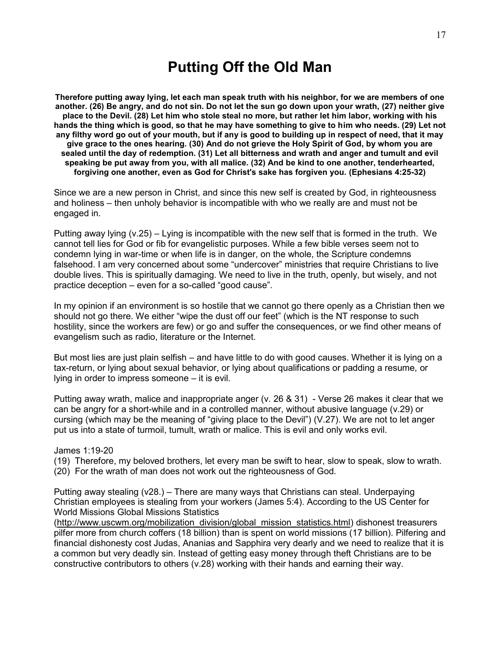# **Putting Off the Old Man**

**Therefore putting away lying, let each man speak truth with his neighbor, for we are members of one another. (26) Be angry, and do not sin. Do not let the sun go down upon your wrath, (27) neither give place to the Devil. (28) Let him who stole steal no more, but rather let him labor, working with his hands the thing which is good, so that he may have something to give to him who needs. (29) Let not any filthy word go out of your mouth, but if any is good to building up in respect of need, that it may give grace to the ones hearing. (30) And do not grieve the Holy Spirit of God, by whom you are sealed until the day of redemption. (31) Let all bitterness and wrath and anger and tumult and evil speaking be put away from you, with all malice. (32) And be kind to one another, tenderhearted, forgiving one another, even as God for Christ's sake has forgiven you. (Ephesians 4:25-32)**

Since we are a new person in Christ, and since this new self is created by God, in righteousness and holiness – then unholy behavior is incompatible with who we really are and must not be engaged in.

Putting away lying (v.25) – Lying is incompatible with the new self that is formed in the truth. We cannot tell lies for God or fib for evangelistic purposes. While a few bible verses seem not to condemn lying in war-time or when life is in danger, on the whole, the Scripture condemns falsehood. I am very concerned about some "undercover" ministries that require Christians to live double lives. This is spiritually damaging. We need to live in the truth, openly, but wisely, and not practice deception – even for a so-called "good cause".

In my opinion if an environment is so hostile that we cannot go there openly as a Christian then we should not go there. We either "wipe the dust off our feet" (which is the NT response to such hostility, since the workers are few) or go and suffer the consequences, or we find other means of evangelism such as radio, literature or the Internet.

But most lies are just plain selfish – and have little to do with good causes. Whether it is lying on a tax-return, or lying about sexual behavior, or lying about qualifications or padding a resume, or lying in order to impress someone – it is evil.

Putting away wrath, malice and inappropriate anger (v. 26 & 31) - Verse 26 makes it clear that we can be angry for a short-while and in a controlled manner, without abusive language (v.29) or cursing (which may be the meaning of "giving place to the Devil") (V.27). We are not to let anger put us into a state of turmoil, tumult, wrath or malice. This is evil and only works evil.

#### James 1:19-20

(19) Therefore, my beloved brothers, let every man be swift to hear, slow to speak, slow to wrath. (20) For the wrath of man does not work out the righteousness of God.

Putting away stealing (v28.) – There are many ways that Christians can steal. Underpaying Christian employees is stealing from your workers (James 5:4). According to the US Center for World Missions Global Missions Statistics

[\(http://www.uscwm.org/mobilization\\_division/global\\_mission\\_statistics.html\)](http://www.uscwm.org/mobilization_division/global_mission_statistics.html) dishonest treasurers pilfer more from church coffers (18 billion) than is spent on world missions (17 billion). Pilfering and financial dishonesty cost Judas, Ananias and Sapphira very dearly and we need to realize that it is a common but very deadly sin. Instead of getting easy money through theft Christians are to be constructive contributors to others (v.28) working with their hands and earning their way.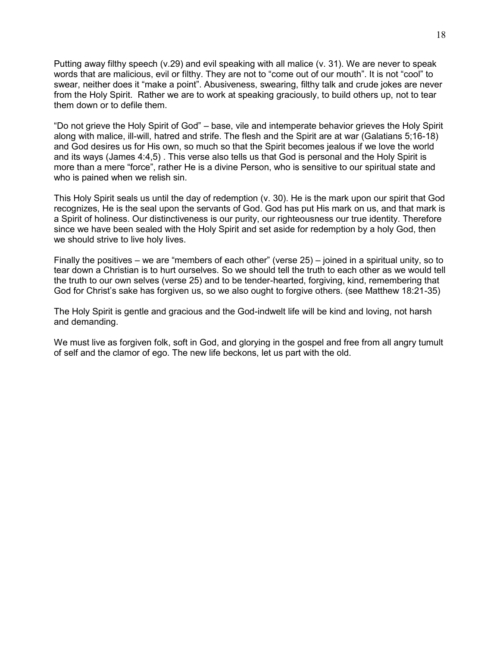Putting away filthy speech (v.29) and evil speaking with all malice (v. 31). We are never to speak words that are malicious, evil or filthy. They are not to "come out of our mouth". It is not "cool" to swear, neither does it "make a point". Abusiveness, swearing, filthy talk and crude jokes are never from the Holy Spirit. Rather we are to work at speaking graciously, to build others up, not to tear them down or to defile them.

"Do not grieve the Holy Spirit of God" – base, vile and intemperate behavior grieves the Holy Spirit along with malice, ill-will, hatred and strife. The flesh and the Spirit are at war (Galatians 5;16-18) and God desires us for His own, so much so that the Spirit becomes jealous if we love the world and its ways (James 4:4,5) . This verse also tells us that God is personal and the Holy Spirit is more than a mere "force", rather He is a divine Person, who is sensitive to our spiritual state and who is pained when we relish sin.

This Holy Spirit seals us until the day of redemption (v. 30). He is the mark upon our spirit that God recognizes, He is the seal upon the servants of God. God has put His mark on us, and that mark is a Spirit of holiness. Our distinctiveness is our purity, our righteousness our true identity. Therefore since we have been sealed with the Holy Spirit and set aside for redemption by a holy God, then we should strive to live holy lives.

Finally the positives – we are "members of each other" (verse 25) – joined in a spiritual unity, so to tear down a Christian is to hurt ourselves. So we should tell the truth to each other as we would tell the truth to our own selves (verse 25) and to be tender-hearted, forgiving, kind, remembering that God for Christ"s sake has forgiven us, so we also ought to forgive others. (see Matthew 18:21-35)

The Holy Spirit is gentle and gracious and the God-indwelt life will be kind and loving, not harsh and demanding.

We must live as forgiven folk, soft in God, and glorying in the gospel and free from all angry tumult of self and the clamor of ego. The new life beckons, let us part with the old.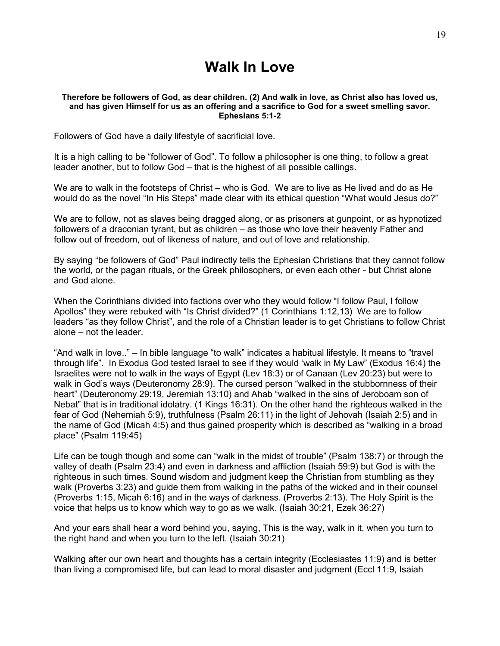# **Walk In Love**

#### **Therefore be followers of God, as dear children. (2) And walk in love, as Christ also has loved us, and has given Himself for us as an offering and a sacrifice to God for a sweet smelling savor. Ephesians 5:1-2**

Followers of God have a daily lifestyle of sacrificial love.

It is a high calling to be "follower of God". To follow a philosopher is one thing, to follow a great leader another, but to follow God – that is the highest of all possible callings.

We are to walk in the footsteps of Christ – who is God. We are to live as He lived and do as He would do as the novel "In His Steps" made clear with its ethical question "What would Jesus do?"

We are to follow, not as slaves being dragged along, or as prisoners at gunpoint, or as hypnotized followers of a draconian tyrant, but as children – as those who love their heavenly Father and follow out of freedom, out of likeness of nature, and out of love and relationship.

By saying "be followers of God" Paul indirectly tells the Ephesian Christians that they cannot follow the world, or the pagan rituals, or the Greek philosophers, or even each other - but Christ alone and God alone.

When the Corinthians divided into factions over who they would follow "I follow Paul, I follow Apollos" they were rebuked with "Is Christ divided?" (1 Corinthians 1:12,13) We are to follow leaders "as they follow Christ", and the role of a Christian leader is to get Christians to follow Christ alone – not the leader.

"And walk in love.." – In bible language "to walk" indicates a habitual lifestyle. It means to "travel through life". In Exodus God tested Israel to see if they would "walk in My Law" (Exodus 16:4) the Israelites were not to walk in the ways of Egypt (Lev 18:3) or of Canaan (Lev 20:23) but were to walk in God"s ways (Deuteronomy 28:9). The cursed person "walked in the stubbornness of their heart" (Deuteronomy 29:19, Jeremiah 13:10) and Ahab "walked in the sins of Jeroboam son of Nebat" that is in traditional idolatry. (1 Kings 16:31). On the other hand the righteous walked in the fear of God (Nehemiah 5:9), truthfulness (Psalm 26:11) in the light of Jehovah (Isaiah 2:5) and in the name of God (Micah 4:5) and thus gained prosperity which is described as "walking in a broad place" (Psalm 119:45)

Life can be tough though and some can "walk in the midst of trouble" (Psalm 138:7) or through the valley of death (Psalm 23:4) and even in darkness and affliction (Isaiah 59:9) but God is with the righteous in such times. Sound wisdom and judgment keep the Christian from stumbling as they walk (Proverbs 3:23) and guide them from walking in the paths of the wicked and in their counsel (Proverbs 1:15, Micah 6:16) and in the ways of darkness. (Proverbs 2:13). The Holy Spirit is the voice that helps us to know which way to go as we walk. (Isaiah 30:21, Ezek 36:27)

And your ears shall hear a word behind you, saying, This is the way, walk in it, when you turn to the right hand and when you turn to the left. (Isaiah 30:21)

Walking after our own heart and thoughts has a certain integrity (Ecclesiastes 11:9) and is better than living a compromised life, but can lead to moral disaster and judgment (Eccl 11:9, Isaiah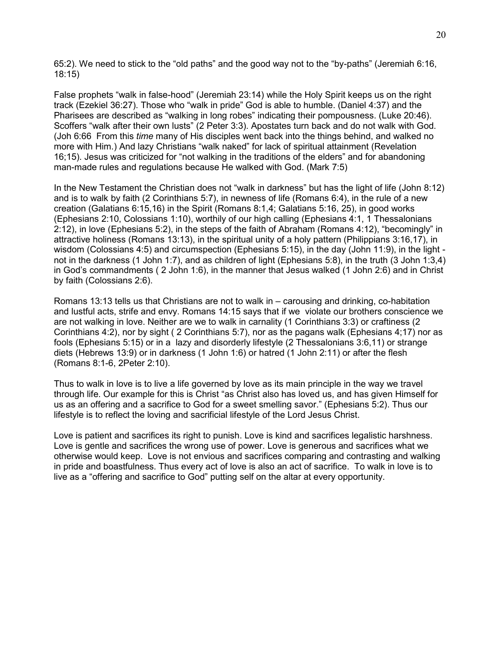65:2). We need to stick to the "old paths" and the good way not to the "by-paths" (Jeremiah 6:16, 18:15)

False prophets "walk in false-hood" (Jeremiah 23:14) while the Holy Spirit keeps us on the right track (Ezekiel 36:27). Those who "walk in pride" God is able to humble. (Daniel 4:37) and the Pharisees are described as "walking in long robes" indicating their pompousness. (Luke 20:46). Scoffers "walk after their own lusts" (2 Peter 3:3). Apostates turn back and do not walk with God. (Joh 6:66 From this *time* many of His disciples went back into the things behind, and walked no more with Him.) And lazy Christians "walk naked" for lack of spiritual attainment (Revelation 16;15). Jesus was criticized for "not walking in the traditions of the elders" and for abandoning man-made rules and regulations because He walked with God. (Mark 7:5)

In the New Testament the Christian does not "walk in darkness" but has the light of life (John 8:12) and is to walk by faith (2 Corinthians 5:7), in newness of life (Romans 6:4), in the rule of a new creation (Galatians 6:15,16) in the Spirit (Romans 8:1,4; Galatians 5:16, 25), in good works (Ephesians 2:10, Colossians 1:10), worthily of our high calling (Ephesians 4:1, 1 Thessalonians 2:12), in love (Ephesians 5:2), in the steps of the faith of Abraham (Romans 4:12), "becomingly" in attractive holiness (Romans 13:13), in the spiritual unity of a holy pattern (Philippians 3:16,17), in wisdom (Colossians 4:5) and circumspection (Ephesians 5:15), in the day (John 11:9), in the light not in the darkness (1 John 1:7), and as children of light (Ephesians 5:8), in the truth (3 John 1:3,4) in God"s commandments ( 2 John 1:6), in the manner that Jesus walked (1 John 2:6) and in Christ by faith (Colossians 2:6).

Romans 13:13 tells us that Christians are not to walk in – carousing and drinking, co-habitation and lustful acts, strife and envy. Romans 14:15 says that if we violate our brothers conscience we are not walking in love. Neither are we to walk in carnality (1 Corinthians 3:3) or craftiness (2 Corinthians 4:2), nor by sight ( 2 Corinthians 5:7), nor as the pagans walk (Ephesians 4;17) nor as fools (Ephesians 5:15) or in a lazy and disorderly lifestyle (2 Thessalonians 3:6,11) or strange diets (Hebrews 13:9) or in darkness (1 John 1:6) or hatred (1 John 2:11) or after the flesh (Romans 8:1-6, 2Peter 2:10).

Thus to walk in love is to live a life governed by love as its main principle in the way we travel through life. Our example for this is Christ "as Christ also has loved us, and has given Himself for us as an offering and a sacrifice to God for a sweet smelling savor." (Ephesians 5:2). Thus our lifestyle is to reflect the loving and sacrificial lifestyle of the Lord Jesus Christ.

Love is patient and sacrifices its right to punish. Love is kind and sacrifices legalistic harshness. Love is gentle and sacrifices the wrong use of power. Love is generous and sacrifices what we otherwise would keep. Love is not envious and sacrifices comparing and contrasting and walking in pride and boastfulness. Thus every act of love is also an act of sacrifice. To walk in love is to live as a "offering and sacrifice to God" putting self on the altar at every opportunity.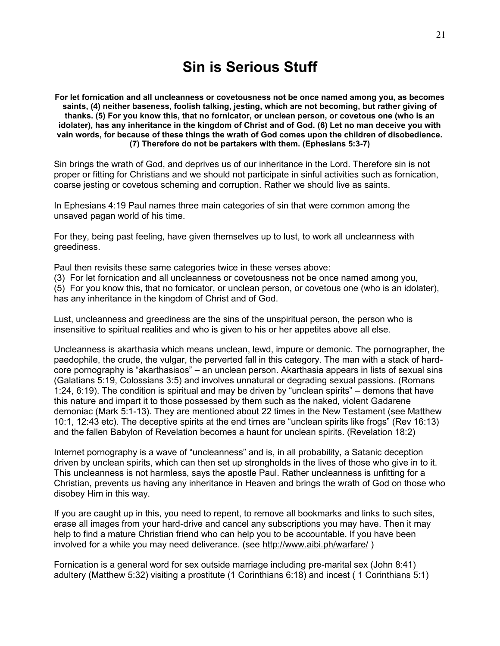# **Sin is Serious Stuff**

**For let fornication and all uncleanness or covetousness not be once named among you, as becomes saints, (4) neither baseness, foolish talking, jesting, which are not becoming, but rather giving of thanks. (5) For you know this, that no fornicator, or unclean person, or covetous one (who is an idolater), has any inheritance in the kingdom of Christ and of God. (6) Let no man deceive you with vain words, for because of these things the wrath of God comes upon the children of disobedience. (7) Therefore do not be partakers with them. (Ephesians 5:3-7)**

Sin brings the wrath of God, and deprives us of our inheritance in the Lord. Therefore sin is not proper or fitting for Christians and we should not participate in sinful activities such as fornication, coarse jesting or covetous scheming and corruption. Rather we should live as saints.

In Ephesians 4:19 Paul names three main categories of sin that were common among the unsaved pagan world of his time.

For they, being past feeling, have given themselves up to lust, to work all uncleanness with greediness.

Paul then revisits these same categories twice in these verses above:

(3) For let fornication and all uncleanness or covetousness not be once named among you,

(5) For you know this, that no fornicator, or unclean person, or covetous one (who is an idolater), has any inheritance in the kingdom of Christ and of God.

Lust, uncleanness and greediness are the sins of the unspiritual person, the person who is insensitive to spiritual realities and who is given to his or her appetites above all else.

Uncleanness is akarthasia which means unclean, lewd, impure or demonic. The pornographer, the paedophile, the crude, the vulgar, the perverted fall in this category. The man with a stack of hardcore pornography is "akarthasisos" – an unclean person. Akarthasia appears in lists of sexual sins (Galatians 5:19, Colossians 3:5) and involves unnatural or degrading sexual passions. (Romans 1:24, 6:19). The condition is spiritual and may be driven by "unclean spirits" – demons that have this nature and impart it to those possessed by them such as the naked, violent Gadarene demoniac (Mark 5:1-13). They are mentioned about 22 times in the New Testament (see Matthew 10:1, 12:43 etc). The deceptive spirits at the end times are "unclean spirits like frogs" (Rev 16:13) and the fallen Babylon of Revelation becomes a haunt for unclean spirits. (Revelation 18:2)

Internet pornography is a wave of "uncleanness" and is, in all probability, a Satanic deception driven by unclean spirits, which can then set up strongholds in the lives of those who give in to it. This uncleanness is not harmless, says the apostle Paul. Rather uncleanness is unfitting for a Christian, prevents us having any inheritance in Heaven and brings the wrath of God on those who disobey Him in this way.

If you are caught up in this, you need to repent, to remove all bookmarks and links to such sites, erase all images from your hard-drive and cancel any subscriptions you may have. Then it may help to find a mature Christian friend who can help you to be accountable. If you have been involved for a while you may need deliverance. (see<http://www.aibi.ph/warfare/> )

Fornication is a general word for sex outside marriage including pre-marital sex (John 8:41) adultery (Matthew 5:32) visiting a prostitute (1 Corinthians 6:18) and incest ( 1 Corinthians 5:1)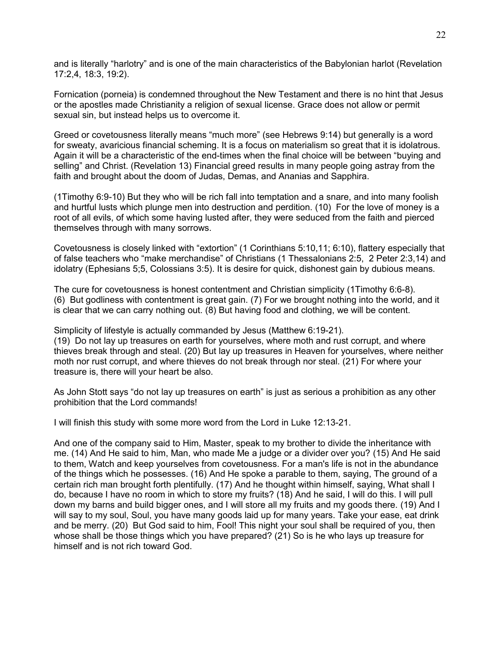and is literally "harlotry" and is one of the main characteristics of the Babylonian harlot (Revelation 17:2,4, 18:3, 19:2).

Fornication (porneia) is condemned throughout the New Testament and there is no hint that Jesus or the apostles made Christianity a religion of sexual license. Grace does not allow or permit sexual sin, but instead helps us to overcome it.

Greed or covetousness literally means "much more" (see Hebrews 9:14) but generally is a word for sweaty, avaricious financial scheming. It is a focus on materialism so great that it is idolatrous. Again it will be a characteristic of the end-times when the final choice will be between "buying and selling" and Christ. (Revelation 13) Financial greed results in many people going astray from the faith and brought about the doom of Judas, Demas, and Ananias and Sapphira.

(1Timothy 6:9-10) But they who will be rich fall into temptation and a snare, and into many foolish and hurtful lusts which plunge men into destruction and perdition. (10) For the love of money is a root of all evils, of which some having lusted after, they were seduced from the faith and pierced themselves through with many sorrows.

Covetousness is closely linked with "extortion" (1 Corinthians 5:10,11; 6:10), flattery especially that of false teachers who "make merchandise" of Christians (1 Thessalonians 2:5, 2 Peter 2:3,14) and idolatry (Ephesians 5;5, Colossians 3:5). It is desire for quick, dishonest gain by dubious means.

The cure for covetousness is honest contentment and Christian simplicity (1Timothy 6:6-8). (6) But godliness with contentment is great gain. (7) For we brought nothing into the world, and it is clear that we can carry nothing out. (8) But having food and clothing, we will be content.

Simplicity of lifestyle is actually commanded by Jesus (Matthew 6:19-21). (19) Do not lay up treasures on earth for yourselves, where moth and rust corrupt, and where thieves break through and steal. (20) But lay up treasures in Heaven for yourselves, where neither moth nor rust corrupt, and where thieves do not break through nor steal. (21) For where your treasure is, there will your heart be also.

As John Stott says "do not lay up treasures on earth" is just as serious a prohibition as any other prohibition that the Lord commands!

I will finish this study with some more word from the Lord in Luke 12:13-21.

And one of the company said to Him, Master, speak to my brother to divide the inheritance with me. (14) And He said to him, Man, who made Me a judge or a divider over you? (15) And He said to them, Watch and keep yourselves from covetousness. For a man's life is not in the abundance of the things which he possesses. (16) And He spoke a parable to them, saying, The ground of a certain rich man brought forth plentifully. (17) And he thought within himself, saying, What shall I do, because I have no room in which to store my fruits? (18) And he said, I will do this. I will pull down my barns and build bigger ones, and I will store all my fruits and my goods there. (19) And I will say to my soul, Soul, you have many goods laid up for many years. Take your ease, eat drink and be merry. (20) But God said to him, Fool! This night your soul shall be required of you, then whose shall be those things which you have prepared? (21) So is he who lays up treasure for himself and is not rich toward God.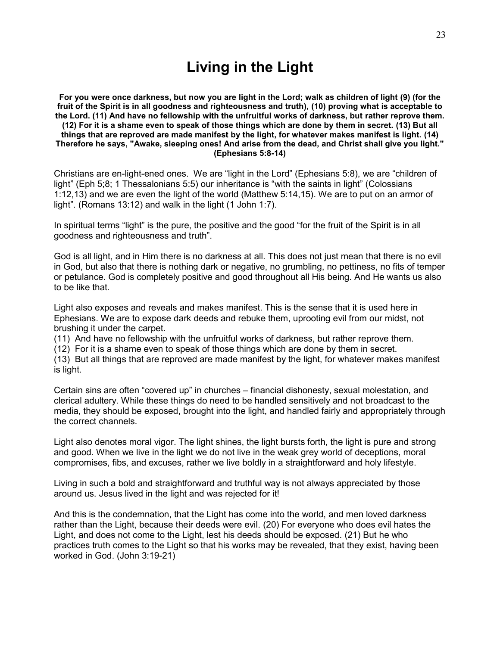# **Living in the Light**

**For you were once darkness, but now you are light in the Lord; walk as children of light (9) (for the fruit of the Spirit is in all goodness and righteousness and truth), (10) proving what is acceptable to the Lord. (11) And have no fellowship with the unfruitful works of darkness, but rather reprove them. (12) For it is a shame even to speak of those things which are done by them in secret. (13) But all things that are reproved are made manifest by the light, for whatever makes manifest is light. (14) Therefore he says, "Awake, sleeping ones! And arise from the dead, and Christ shall give you light." (Ephesians 5:8-14)**

Christians are en-light-ened ones. We are "light in the Lord" (Ephesians 5:8), we are "children of light" (Eph 5;8; 1 Thessalonians 5:5) our inheritance is "with the saints in light" (Colossians 1:12,13) and we are even the light of the world (Matthew 5:14,15). We are to put on an armor of light". (Romans 13:12) and walk in the light (1 John 1:7).

In spiritual terms "light" is the pure, the positive and the good "for the fruit of the Spirit is in all goodness and righteousness and truth".

God is all light, and in Him there is no darkness at all. This does not just mean that there is no evil in God, but also that there is nothing dark or negative, no grumbling, no pettiness, no fits of temper or petulance. God is completely positive and good throughout all His being. And He wants us also to be like that.

Light also exposes and reveals and makes manifest. This is the sense that it is used here in Ephesians. We are to expose dark deeds and rebuke them, uprooting evil from our midst, not brushing it under the carpet.

(11) And have no fellowship with the unfruitful works of darkness, but rather reprove them.

(12) For it is a shame even to speak of those things which are done by them in secret.

(13) But all things that are reproved are made manifest by the light, for whatever makes manifest is light.

Certain sins are often "covered up" in churches – financial dishonesty, sexual molestation, and clerical adultery. While these things do need to be handled sensitively and not broadcast to the media, they should be exposed, brought into the light, and handled fairly and appropriately through the correct channels.

Light also denotes moral vigor. The light shines, the light bursts forth, the light is pure and strong and good. When we live in the light we do not live in the weak grey world of deceptions, moral compromises, fibs, and excuses, rather we live boldly in a straightforward and holy lifestyle.

Living in such a bold and straightforward and truthful way is not always appreciated by those around us. Jesus lived in the light and was rejected for it!

And this is the condemnation, that the Light has come into the world, and men loved darkness rather than the Light, because their deeds were evil. (20) For everyone who does evil hates the Light, and does not come to the Light, lest his deeds should be exposed. (21) But he who practices truth comes to the Light so that his works may be revealed, that they exist, having been worked in God. (John 3:19-21)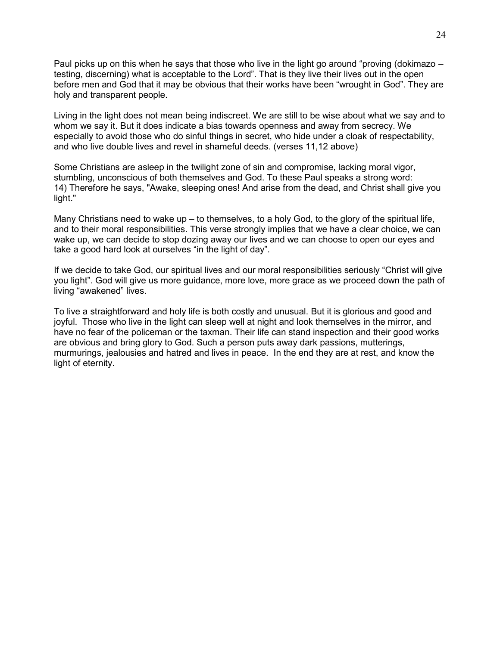Paul picks up on this when he says that those who live in the light go around "proving (dokimazo – testing, discerning) what is acceptable to the Lord". That is they live their lives out in the open before men and God that it may be obvious that their works have been "wrought in God". They are holy and transparent people.

Living in the light does not mean being indiscreet. We are still to be wise about what we say and to whom we say it. But it does indicate a bias towards openness and away from secrecy. We especially to avoid those who do sinful things in secret, who hide under a cloak of respectability, and who live double lives and revel in shameful deeds. (verses 11,12 above)

Some Christians are asleep in the twilight zone of sin and compromise, lacking moral vigor, stumbling, unconscious of both themselves and God. To these Paul speaks a strong word: 14) Therefore he says, "Awake, sleeping ones! And arise from the dead, and Christ shall give you light."

Many Christians need to wake up – to themselves, to a holy God, to the glory of the spiritual life, and to their moral responsibilities. This verse strongly implies that we have a clear choice, we can wake up, we can decide to stop dozing away our lives and we can choose to open our eyes and take a good hard look at ourselves "in the light of day".

If we decide to take God, our spiritual lives and our moral responsibilities seriously "Christ will give you light". God will give us more guidance, more love, more grace as we proceed down the path of living "awakened" lives.

To live a straightforward and holy life is both costly and unusual. But it is glorious and good and joyful. Those who live in the light can sleep well at night and look themselves in the mirror, and have no fear of the policeman or the taxman. Their life can stand inspection and their good works are obvious and bring glory to God. Such a person puts away dark passions, mutterings, murmurings, jealousies and hatred and lives in peace. In the end they are at rest, and know the light of eternity.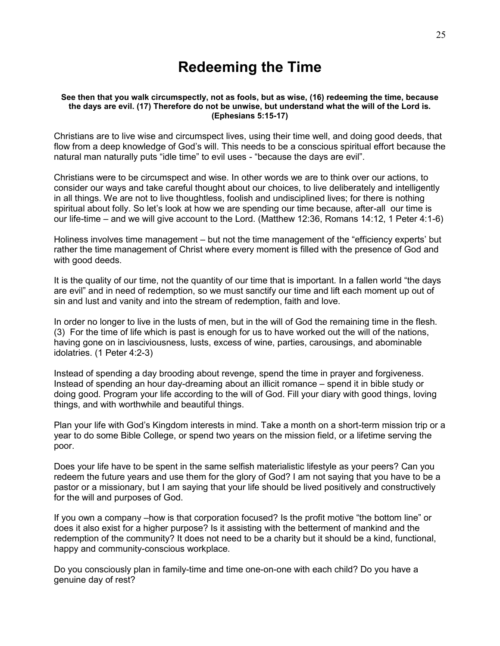# **Redeeming the Time**

#### **See then that you walk circumspectly, not as fools, but as wise, (16) redeeming the time, because the days are evil. (17) Therefore do not be unwise, but understand what the will of the Lord is. (Ephesians 5:15-17)**

Christians are to live wise and circumspect lives, using their time well, and doing good deeds, that flow from a deep knowledge of God"s will. This needs to be a conscious spiritual effort because the natural man naturally puts "idle time" to evil uses - "because the days are evil".

Christians were to be circumspect and wise. In other words we are to think over our actions, to consider our ways and take careful thought about our choices, to live deliberately and intelligently in all things. We are not to live thoughtless, foolish and undisciplined lives; for there is nothing spiritual about folly. So let's look at how we are spending our time because, after-all our time is our life-time – and we will give account to the Lord. (Matthew 12:36, Romans 14:12, 1 Peter 4:1-6)

Holiness involves time management – but not the time management of the "efficiency experts" but rather the time management of Christ where every moment is filled with the presence of God and with good deeds.

It is the quality of our time, not the quantity of our time that is important. In a fallen world "the days are evil" and in need of redemption, so we must sanctify our time and lift each moment up out of sin and lust and vanity and into the stream of redemption, faith and love.

In order no longer to live in the lusts of men, but in the will of God the remaining time in the flesh. (3) For the time of life which is past is enough for us to have worked out the will of the nations, having gone on in lasciviousness, lusts, excess of wine, parties, carousings, and abominable idolatries. (1 Peter 4:2-3)

Instead of spending a day brooding about revenge, spend the time in prayer and forgiveness. Instead of spending an hour day-dreaming about an illicit romance – spend it in bible study or doing good. Program your life according to the will of God. Fill your diary with good things, loving things, and with worthwhile and beautiful things.

Plan your life with God"s Kingdom interests in mind. Take a month on a short-term mission trip or a year to do some Bible College, or spend two years on the mission field, or a lifetime serving the poor.

Does your life have to be spent in the same selfish materialistic lifestyle as your peers? Can you redeem the future years and use them for the glory of God? I am not saying that you have to be a pastor or a missionary, but I am saying that your life should be lived positively and constructively for the will and purposes of God.

If you own a company –how is that corporation focused? Is the profit motive "the bottom line" or does it also exist for a higher purpose? Is it assisting with the betterment of mankind and the redemption of the community? It does not need to be a charity but it should be a kind, functional, happy and community-conscious workplace.

Do you consciously plan in family-time and time one-on-one with each child? Do you have a genuine day of rest?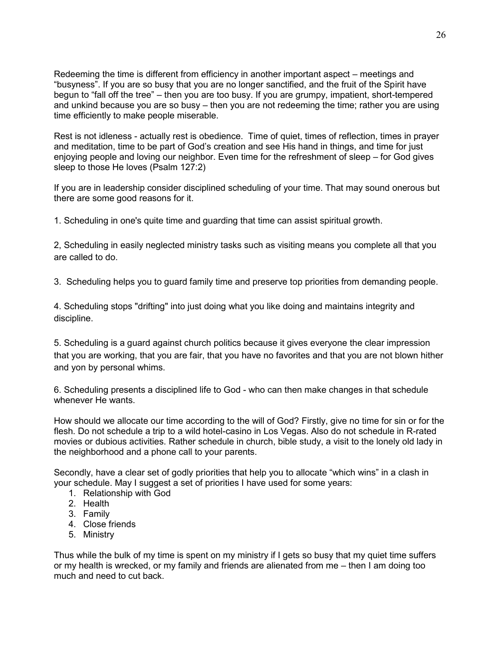Redeeming the time is different from efficiency in another important aspect – meetings and "busyness". If you are so busy that you are no longer sanctified, and the fruit of the Spirit have begun to "fall off the tree" – then you are too busy. If you are grumpy, impatient, short-tempered and unkind because you are so busy – then you are not redeeming the time; rather you are using time efficiently to make people miserable.

Rest is not idleness - actually rest is obedience. Time of quiet, times of reflection, times in prayer and meditation, time to be part of God"s creation and see His hand in things, and time for just enjoying people and loving our neighbor. Even time for the refreshment of sleep – for God gives sleep to those He loves (Psalm 127:2)

If you are in leadership consider disciplined scheduling of your time. That may sound onerous but there are some good reasons for it.

1. Scheduling in one's quite time and guarding that time can assist spiritual growth.

2, Scheduling in easily neglected ministry tasks such as visiting means you complete all that you are called to do.

3. Scheduling helps you to guard family time and preserve top priorities from demanding people.

4. Scheduling stops "drifting" into just doing what you like doing and maintains integrity and discipline.

5. Scheduling is a guard against church politics because it gives everyone the clear impression that you are working, that you are fair, that you have no favorites and that you are not blown hither and yon by personal whims.

6. Scheduling presents a disciplined life to God - who can then make changes in that schedule whenever He wants.

How should we allocate our time according to the will of God? Firstly, give no time for sin or for the flesh. Do not schedule a trip to a wild hotel-casino in Los Vegas. Also do not schedule in R-rated movies or dubious activities. Rather schedule in church, bible study, a visit to the lonely old lady in the neighborhood and a phone call to your parents.

Secondly, have a clear set of godly priorities that help you to allocate "which wins" in a clash in your schedule. May I suggest a set of priorities I have used for some years:

- 1. Relationship with God
- 2. Health
- 3. Family
- 4. Close friends
- 5. Ministry

Thus while the bulk of my time is spent on my ministry if I gets so busy that my quiet time suffers or my health is wrecked, or my family and friends are alienated from me – then I am doing too much and need to cut back.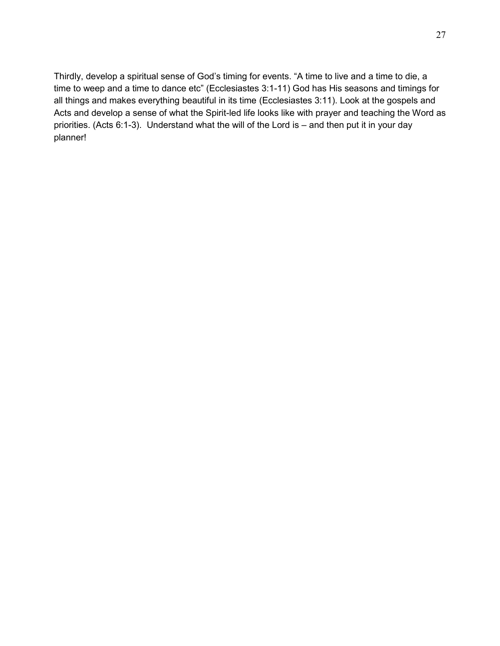Thirdly, develop a spiritual sense of God's timing for events. "A time to live and a time to die, a time to weep and a time to dance etc" (Ecclesiastes 3:1-11) God has His seasons and timings for all things and makes everything beautiful in its time (Ecclesiastes 3:11). Look at the gospels and Acts and develop a sense of what the Spirit-led life looks like with prayer and teaching the Word as priorities. (Acts 6:1-3). Understand what the will of the Lord is – and then put it in your day planner!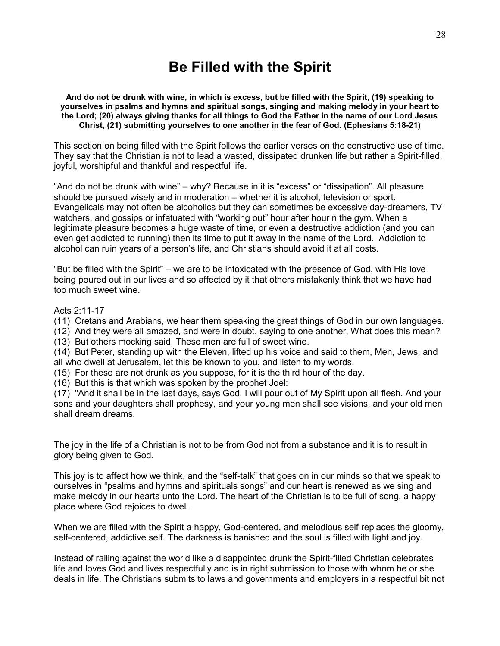# **Be Filled with the Spirit**

**And do not be drunk with wine, in which is excess, but be filled with the Spirit, (19) speaking to yourselves in psalms and hymns and spiritual songs, singing and making melody in your heart to the Lord; (20) always giving thanks for all things to God the Father in the name of our Lord Jesus Christ, (21) submitting yourselves to one another in the fear of God. (Ephesians 5:18-21)**

This section on being filled with the Spirit follows the earlier verses on the constructive use of time. They say that the Christian is not to lead a wasted, dissipated drunken life but rather a Spirit-filled, joyful, worshipful and thankful and respectful life.

"And do not be drunk with wine" – why? Because in it is "excess" or "dissipation". All pleasure should be pursued wisely and in moderation – whether it is alcohol, television or sport. Evangelicals may not often be alcoholics but they can sometimes be excessive day-dreamers, TV watchers, and gossips or infatuated with "working out" hour after hour n the gym. When a legitimate pleasure becomes a huge waste of time, or even a destructive addiction (and you can even get addicted to running) then its time to put it away in the name of the Lord. Addiction to alcohol can ruin years of a person"s life, and Christians should avoid it at all costs.

"But be filled with the Spirit" – we are to be intoxicated with the presence of God, with His love being poured out in our lives and so affected by it that others mistakenly think that we have had too much sweet wine.

#### Acts 2:11-17

(11) Cretans and Arabians, we hear them speaking the great things of God in our own languages.

(12) And they were all amazed, and were in doubt, saying to one another, What does this mean?

(13) But others mocking said, These men are full of sweet wine.

(14) But Peter, standing up with the Eleven, lifted up his voice and said to them, Men, Jews, and all who dwell at Jerusalem, let this be known to you, and listen to my words.

(15) For these are not drunk as you suppose, for it is the third hour of the day.

(16) But this is that which was spoken by the prophet Joel:

(17) "And it shall be in the last days, says God, I will pour out of My Spirit upon all flesh. And your sons and your daughters shall prophesy, and your young men shall see visions, and your old men shall dream dreams.

The joy in the life of a Christian is not to be from God not from a substance and it is to result in glory being given to God.

This joy is to affect how we think, and the "self-talk" that goes on in our minds so that we speak to ourselves in "psalms and hymns and spirituals songs" and our heart is renewed as we sing and make melody in our hearts unto the Lord. The heart of the Christian is to be full of song, a happy place where God rejoices to dwell.

When we are filled with the Spirit a happy, God-centered, and melodious self replaces the gloomy, self-centered, addictive self. The darkness is banished and the soul is filled with light and joy.

Instead of railing against the world like a disappointed drunk the Spirit-filled Christian celebrates life and loves God and lives respectfully and is in right submission to those with whom he or she deals in life. The Christians submits to laws and governments and employers in a respectful bit not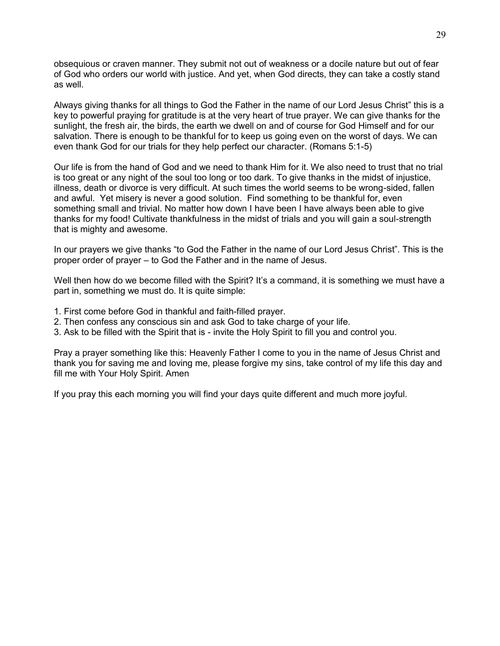obsequious or craven manner. They submit not out of weakness or a docile nature but out of fear of God who orders our world with justice. And yet, when God directs, they can take a costly stand as well.

Always giving thanks for all things to God the Father in the name of our Lord Jesus Christ" this is a key to powerful praying for gratitude is at the very heart of true prayer. We can give thanks for the sunlight, the fresh air, the birds, the earth we dwell on and of course for God Himself and for our salvation. There is enough to be thankful for to keep us going even on the worst of days. We can even thank God for our trials for they help perfect our character. (Romans 5:1-5)

Our life is from the hand of God and we need to thank Him for it. We also need to trust that no trial is too great or any night of the soul too long or too dark. To give thanks in the midst of injustice, illness, death or divorce is very difficult. At such times the world seems to be wrong-sided, fallen and awful. Yet misery is never a good solution. Find something to be thankful for, even something small and trivial. No matter how down I have been I have always been able to give thanks for my food! Cultivate thankfulness in the midst of trials and you will gain a soul-strength that is mighty and awesome.

In our prayers we give thanks "to God the Father in the name of our Lord Jesus Christ". This is the proper order of prayer – to God the Father and in the name of Jesus.

Well then how do we become filled with the Spirit? It's a command, it is something we must have a part in, something we must do. It is quite simple:

- 1. First come before God in thankful and faith-filled prayer.
- 2. Then confess any conscious sin and ask God to take charge of your life.
- 3. Ask to be filled with the Spirit that is invite the Holy Spirit to fill you and control you.

Pray a prayer something like this: Heavenly Father I come to you in the name of Jesus Christ and thank you for saving me and loving me, please forgive my sins, take control of my life this day and fill me with Your Holy Spirit. Amen

If you pray this each morning you will find your days quite different and much more joyful.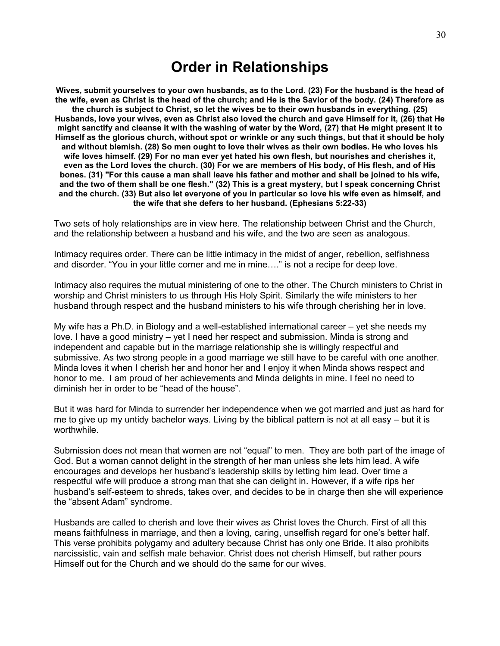## **Order in Relationships**

**Wives, submit yourselves to your own husbands, as to the Lord. (23) For the husband is the head of the wife, even as Christ is the head of the church; and He is the Savior of the body. (24) Therefore as the church is subject to Christ, so let the wives be to their own husbands in everything. (25) Husbands, love your wives, even as Christ also loved the church and gave Himself for it, (26) that He might sanctify and cleanse it with the washing of water by the Word, (27) that He might present it to Himself as the glorious church, without spot or wrinkle or any such things, but that it should be holy and without blemish. (28) So men ought to love their wives as their own bodies. He who loves his wife loves himself. (29) For no man ever yet hated his own flesh, but nourishes and cherishes it, even as the Lord loves the church. (30) For we are members of His body, of His flesh, and of His bones. (31) "For this cause a man shall leave his father and mother and shall be joined to his wife, and the two of them shall be one flesh." (32) This is a great mystery, but I speak concerning Christ and the church. (33) But also let everyone of you in particular so love his wife even as himself, and the wife that she defers to her husband. (Ephesians 5:22-33)**

Two sets of holy relationships are in view here. The relationship between Christ and the Church, and the relationship between a husband and his wife, and the two are seen as analogous.

Intimacy requires order. There can be little intimacy in the midst of anger, rebellion, selfishness and disorder. "You in your little corner and me in mine…." is not a recipe for deep love.

Intimacy also requires the mutual ministering of one to the other. The Church ministers to Christ in worship and Christ ministers to us through His Holy Spirit. Similarly the wife ministers to her husband through respect and the husband ministers to his wife through cherishing her in love.

My wife has a Ph.D. in Biology and a well-established international career – yet she needs my love. I have a good ministry – yet I need her respect and submission. Minda is strong and independent and capable but in the marriage relationship she is willingly respectful and submissive. As two strong people in a good marriage we still have to be careful with one another. Minda loves it when I cherish her and honor her and I enjoy it when Minda shows respect and honor to me. I am proud of her achievements and Minda delights in mine. I feel no need to diminish her in order to be "head of the house".

But it was hard for Minda to surrender her independence when we got married and just as hard for me to give up my untidy bachelor ways. Living by the biblical pattern is not at all easy – but it is worthwhile.

Submission does not mean that women are not "equal" to men. They are both part of the image of God. But a woman cannot delight in the strength of her man unless she lets him lead. A wife encourages and develops her husband"s leadership skills by letting him lead. Over time a respectful wife will produce a strong man that she can delight in. However, if a wife rips her husband"s self-esteem to shreds, takes over, and decides to be in charge then she will experience the "absent Adam" syndrome.

Husbands are called to cherish and love their wives as Christ loves the Church. First of all this means faithfulness in marriage, and then a loving, caring, unselfish regard for one"s better half. This verse prohibits polygamy and adultery because Christ has only one Bride. It also prohibits narcissistic, vain and selfish male behavior. Christ does not cherish Himself, but rather pours Himself out for the Church and we should do the same for our wives.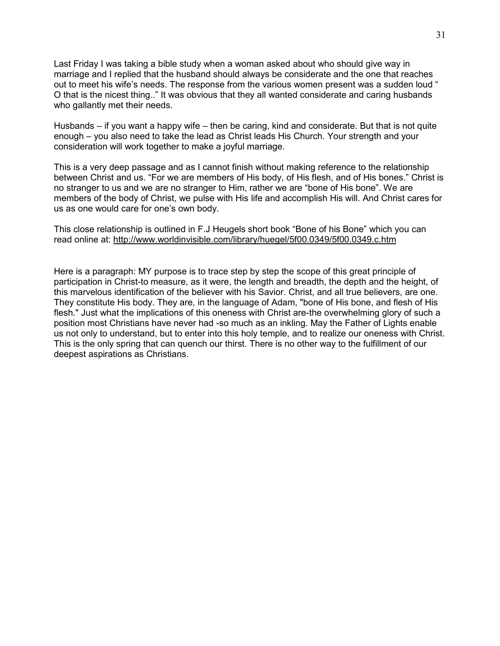Last Friday I was taking a bible study when a woman asked about who should give way in marriage and I replied that the husband should always be considerate and the one that reaches out to meet his wife"s needs. The response from the various women present was a sudden loud " O that is the nicest thing.." It was obvious that they all wanted considerate and caring husbands who gallantly met their needs.

Husbands – if you want a happy wife – then be caring, kind and considerate. But that is not quite enough – you also need to take the lead as Christ leads His Church. Your strength and your consideration will work together to make a joyful marriage.

This is a very deep passage and as I cannot finish without making reference to the relationship between Christ and us. "For we are members of His body, of His flesh, and of His bones." Christ is no stranger to us and we are no stranger to Him, rather we are "bone of His bone". We are members of the body of Christ, we pulse with His life and accomplish His will. And Christ cares for us as one would care for one"s own body.

This close relationship is outlined in F.J Heugels short book "Bone of his Bone" which you can read online at: <http://www.worldinvisible.com/library/huegel/5f00.0349/5f00.0349.c.htm>

Here is a paragraph: MY purpose is to trace step by step the scope of this great principle of participation in Christ-to measure, as it were, the length and breadth, the depth and the height, of this marvelous identification of the believer with his Savior. Christ, and all true believers, are one. They constitute His body. They are, in the language of Adam, "bone of His bone, and flesh of His flesh." Just what the implications of this oneness with Christ are-the overwhelming glory of such a position most Christians have never had -so much as an inkling. May the Father of Lights enable us not only to understand, but to enter into this holy temple, and to realize our oneness with Christ. This is the only spring that can quench our thirst. There is no other way to the fulfillment of our deepest aspirations as Christians.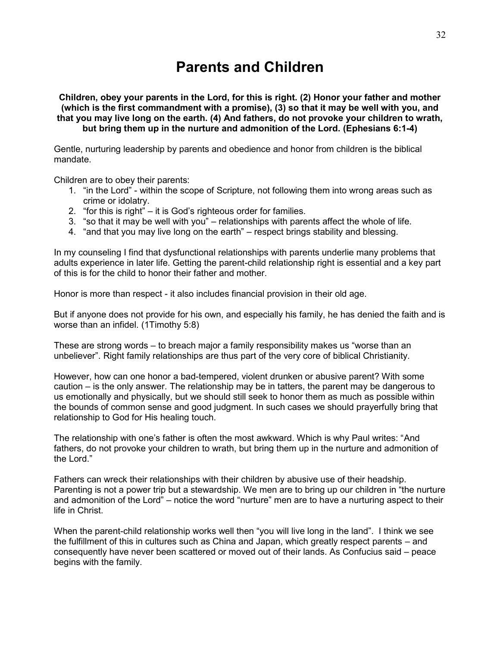# **Parents and Children**

**Children, obey your parents in the Lord, for this is right. (2) Honor your father and mother (which is the first commandment with a promise), (3) so that it may be well with you, and that you may live long on the earth. (4) And fathers, do not provoke your children to wrath, but bring them up in the nurture and admonition of the Lord. (Ephesians 6:1-4)**

Gentle, nurturing leadership by parents and obedience and honor from children is the biblical mandate.

Children are to obey their parents:

- 1. "in the Lord" within the scope of Scripture, not following them into wrong areas such as crime or idolatry.
- 2. "for this is right" it is God"s righteous order for families.
- 3. "so that it may be well with you" relationships with parents affect the whole of life.
- 4. "and that you may live long on the earth" respect brings stability and blessing.

In my counseling I find that dysfunctional relationships with parents underlie many problems that adults experience in later life. Getting the parent-child relationship right is essential and a key part of this is for the child to honor their father and mother.

Honor is more than respect - it also includes financial provision in their old age.

But if anyone does not provide for his own, and especially his family, he has denied the faith and is worse than an infidel. (1Timothy 5:8)

These are strong words – to breach major a family responsibility makes us "worse than an unbeliever". Right family relationships are thus part of the very core of biblical Christianity.

However, how can one honor a bad-tempered, violent drunken or abusive parent? With some caution – is the only answer. The relationship may be in tatters, the parent may be dangerous to us emotionally and physically, but we should still seek to honor them as much as possible within the bounds of common sense and good judgment. In such cases we should prayerfully bring that relationship to God for His healing touch.

The relationship with one's father is often the most awkward. Which is why Paul writes: "And fathers, do not provoke your children to wrath, but bring them up in the nurture and admonition of the Lord."

Fathers can wreck their relationships with their children by abusive use of their headship. Parenting is not a power trip but a stewardship. We men are to bring up our children in "the nurture and admonition of the Lord" – notice the word "nurture" men are to have a nurturing aspect to their life in Christ.

When the parent-child relationship works well then "you will live long in the land". I think we see the fulfillment of this in cultures such as China and Japan, which greatly respect parents – and consequently have never been scattered or moved out of their lands. As Confucius said – peace begins with the family.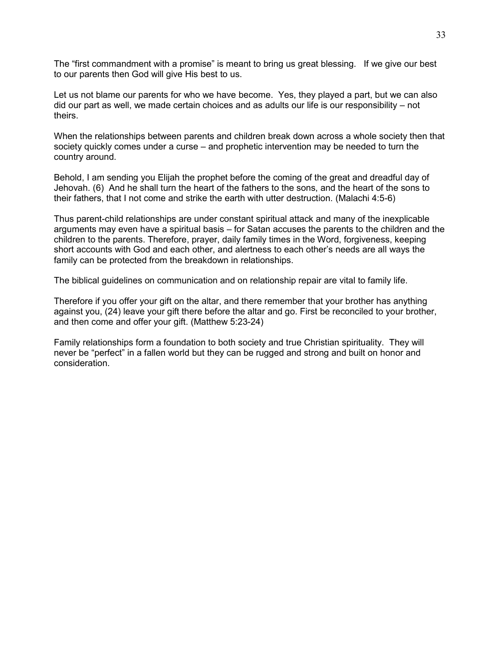The "first commandment with a promise" is meant to bring us great blessing. If we give our best to our parents then God will give His best to us.

Let us not blame our parents for who we have become. Yes, they played a part, but we can also did our part as well, we made certain choices and as adults our life is our responsibility – not theirs.

When the relationships between parents and children break down across a whole society then that society quickly comes under a curse – and prophetic intervention may be needed to turn the country around.

Behold, I am sending you Elijah the prophet before the coming of the great and dreadful day of Jehovah. (6) And he shall turn the heart of the fathers to the sons, and the heart of the sons to their fathers, that I not come and strike the earth with utter destruction. (Malachi 4:5-6)

Thus parent-child relationships are under constant spiritual attack and many of the inexplicable arguments may even have a spiritual basis – for Satan accuses the parents to the children and the children to the parents. Therefore, prayer, daily family times in the Word, forgiveness, keeping short accounts with God and each other, and alertness to each other"s needs are all ways the family can be protected from the breakdown in relationships.

The biblical guidelines on communication and on relationship repair are vital to family life.

Therefore if you offer your gift on the altar, and there remember that your brother has anything against you, (24) leave your gift there before the altar and go. First be reconciled to your brother, and then come and offer your gift. (Matthew 5:23-24)

Family relationships form a foundation to both society and true Christian spirituality. They will never be "perfect" in a fallen world but they can be rugged and strong and built on honor and consideration.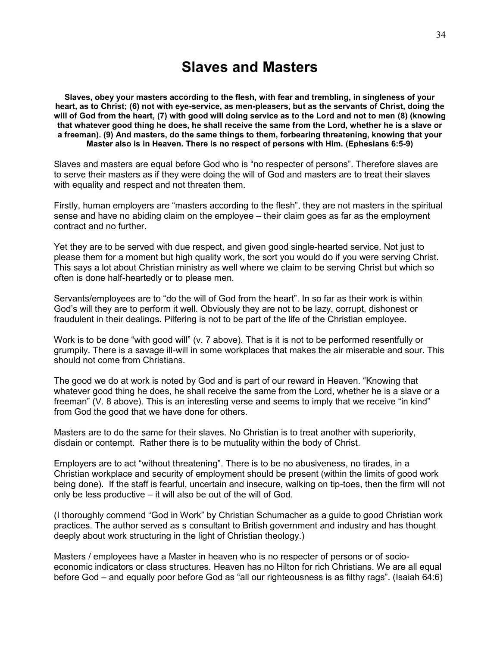### **Slaves and Masters**

**Slaves, obey your masters according to the flesh, with fear and trembling, in singleness of your heart, as to Christ; (6) not with eye-service, as men-pleasers, but as the servants of Christ, doing the will of God from the heart, (7) with good will doing service as to the Lord and not to men (8) (knowing that whatever good thing he does, he shall receive the same from the Lord, whether he is a slave or a freeman). (9) And masters, do the same things to them, forbearing threatening, knowing that your Master also is in Heaven. There is no respect of persons with Him. (Ephesians 6:5-9)**

Slaves and masters are equal before God who is "no respecter of persons". Therefore slaves are to serve their masters as if they were doing the will of God and masters are to treat their slaves with equality and respect and not threaten them.

Firstly, human employers are "masters according to the flesh", they are not masters in the spiritual sense and have no abiding claim on the employee – their claim goes as far as the employment contract and no further.

Yet they are to be served with due respect, and given good single-hearted service. Not just to please them for a moment but high quality work, the sort you would do if you were serving Christ. This says a lot about Christian ministry as well where we claim to be serving Christ but which so often is done half-heartedly or to please men.

Servants/employees are to "do the will of God from the heart". In so far as their work is within God"s will they are to perform it well. Obviously they are not to be lazy, corrupt, dishonest or fraudulent in their dealings. Pilfering is not to be part of the life of the Christian employee.

Work is to be done "with good will" (v. 7 above). That is it is not to be performed resentfully or grumpily. There is a savage ill-will in some workplaces that makes the air miserable and sour. This should not come from Christians.

The good we do at work is noted by God and is part of our reward in Heaven. "Knowing that whatever good thing he does, he shall receive the same from the Lord, whether he is a slave or a freeman" (V. 8 above). This is an interesting verse and seems to imply that we receive "in kind" from God the good that we have done for others.

Masters are to do the same for their slaves. No Christian is to treat another with superiority, disdain or contempt. Rather there is to be mutuality within the body of Christ.

Employers are to act "without threatening". There is to be no abusiveness, no tirades, in a Christian workplace and security of employment should be present (within the limits of good work being done). If the staff is fearful, uncertain and insecure, walking on tip-toes, then the firm will not only be less productive – it will also be out of the will of God.

(I thoroughly commend "God in Work" by Christian Schumacher as a guide to good Christian work practices. The author served as s consultant to British government and industry and has thought deeply about work structuring in the light of Christian theology.)

Masters / employees have a Master in heaven who is no respecter of persons or of socioeconomic indicators or class structures. Heaven has no Hilton for rich Christians. We are all equal before God – and equally poor before God as "all our righteousness is as filthy rags". (Isaiah 64:6)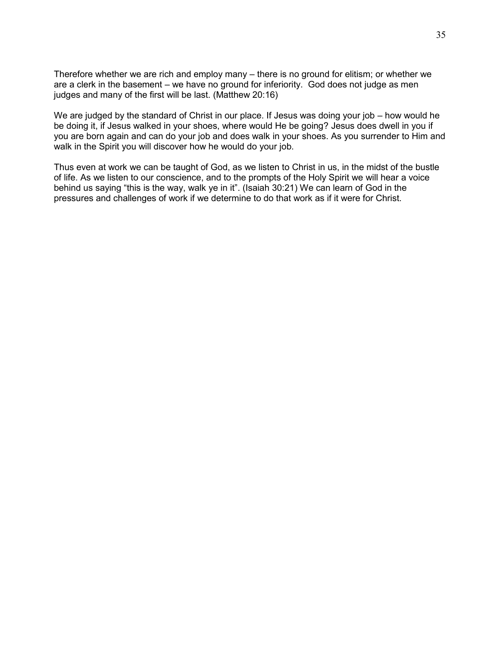Therefore whether we are rich and employ many – there is no ground for elitism; or whether we are a clerk in the basement – we have no ground for inferiority. God does not judge as men judges and many of the first will be last. (Matthew 20:16)

We are judged by the standard of Christ in our place. If Jesus was doing your job – how would he be doing it, if Jesus walked in your shoes, where would He be going? Jesus does dwell in you if you are born again and can do your job and does walk in your shoes. As you surrender to Him and walk in the Spirit you will discover how he would do your job.

Thus even at work we can be taught of God, as we listen to Christ in us, in the midst of the bustle of life. As we listen to our conscience, and to the prompts of the Holy Spirit we will hear a voice behind us saying "this is the way, walk ye in it". (Isaiah 30:21) We can learn of God in the pressures and challenges of work if we determine to do that work as if it were for Christ.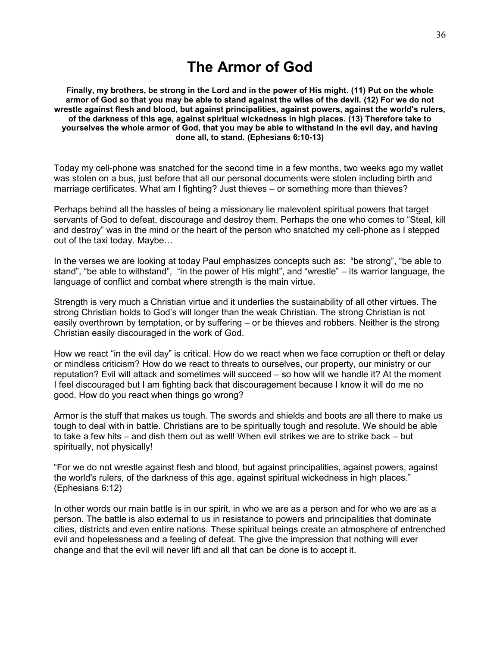# **The Armor of God**

**Finally, my brothers, be strong in the Lord and in the power of His might. (11) Put on the whole armor of God so that you may be able to stand against the wiles of the devil. (12) For we do not wrestle against flesh and blood, but against principalities, against powers, against the world's rulers, of the darkness of this age, against spiritual wickedness in high places. (13) Therefore take to yourselves the whole armor of God, that you may be able to withstand in the evil day, and having done all, to stand. (Ephesians 6:10-13)**

Today my cell-phone was snatched for the second time in a few months, two weeks ago my wallet was stolen on a bus, just before that all our personal documents were stolen including birth and marriage certificates. What am I fighting? Just thieves – or something more than thieves?

Perhaps behind all the hassles of being a missionary lie malevolent spiritual powers that target servants of God to defeat, discourage and destroy them. Perhaps the one who comes to "Steal, kill and destroy" was in the mind or the heart of the person who snatched my cell-phone as I stepped out of the taxi today. Maybe…

In the verses we are looking at today Paul emphasizes concepts such as: "be strong", "be able to stand", "be able to withstand", "in the power of His might", and "wrestle" – its warrior language, the language of conflict and combat where strength is the main virtue.

Strength is very much a Christian virtue and it underlies the sustainability of all other virtues. The strong Christian holds to God"s will longer than the weak Christian. The strong Christian is not easily overthrown by temptation, or by suffering – or be thieves and robbers. Neither is the strong Christian easily discouraged in the work of God.

How we react "in the evil day" is critical. How do we react when we face corruption or theft or delay or mindless criticism? How do we react to threats to ourselves, our property, our ministry or our reputation? Evil will attack and sometimes will succeed – so how will we handle it? At the moment I feel discouraged but I am fighting back that discouragement because I know it will do me no good. How do you react when things go wrong?

Armor is the stuff that makes us tough. The swords and shields and boots are all there to make us tough to deal with in battle. Christians are to be spiritually tough and resolute. We should be able to take a few hits – and dish them out as well! When evil strikes we are to strike back – but spiritually, not physically!

"For we do not wrestle against flesh and blood, but against principalities, against powers, against the world's rulers, of the darkness of this age, against spiritual wickedness in high places." (Ephesians 6:12)

In other words our main battle is in our spirit, in who we are as a person and for who we are as a person. The battle is also external to us in resistance to powers and principalities that dominate cities, districts and even entire nations. These spiritual beings create an atmosphere of entrenched evil and hopelessness and a feeling of defeat. The give the impression that nothing will ever change and that the evil will never lift and all that can be done is to accept it.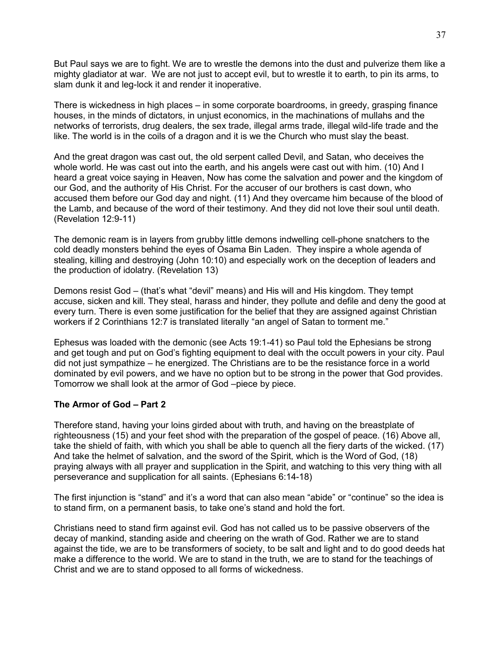But Paul says we are to fight. We are to wrestle the demons into the dust and pulverize them like a mighty gladiator at war. We are not just to accept evil, but to wrestle it to earth, to pin its arms, to slam dunk it and leg-lock it and render it inoperative.

There is wickedness in high places – in some corporate boardrooms, in greedy, grasping finance houses, in the minds of dictators, in unjust economics, in the machinations of mullahs and the networks of terrorists, drug dealers, the sex trade, illegal arms trade, illegal wild-life trade and the like. The world is in the coils of a dragon and it is we the Church who must slay the beast.

And the great dragon was cast out, the old serpent called Devil, and Satan, who deceives the whole world. He was cast out into the earth, and his angels were cast out with him. (10) And I heard a great voice saying in Heaven, Now has come the salvation and power and the kingdom of our God, and the authority of His Christ. For the accuser of our brothers is cast down, who accused them before our God day and night. (11) And they overcame him because of the blood of the Lamb, and because of the word of their testimony. And they did not love their soul until death. (Revelation 12:9-11)

The demonic ream is in layers from grubby little demons indwelling cell-phone snatchers to the cold deadly monsters behind the eyes of Osama Bin Laden. They inspire a whole agenda of stealing, killing and destroying (John 10:10) and especially work on the deception of leaders and the production of idolatry. (Revelation 13)

Demons resist God – (that's what "devil" means) and His will and His kingdom. They tempt accuse, sicken and kill. They steal, harass and hinder, they pollute and defile and deny the good at every turn. There is even some justification for the belief that they are assigned against Christian workers if 2 Corinthians 12:7 is translated literally "an angel of Satan to torment me."

Ephesus was loaded with the demonic (see Acts 19:1-41) so Paul told the Ephesians be strong and get tough and put on God"s fighting equipment to deal with the occult powers in your city. Paul did not just sympathize – he energized. The Christians are to be the resistance force in a world dominated by evil powers, and we have no option but to be strong in the power that God provides. Tomorrow we shall look at the armor of God –piece by piece.

#### **The Armor of God – Part 2**

Therefore stand, having your loins girded about with truth, and having on the breastplate of righteousness (15) and your feet shod with the preparation of the gospel of peace. (16) Above all, take the shield of faith, with which you shall be able to quench all the fiery darts of the wicked. (17) And take the helmet of salvation, and the sword of the Spirit, which is the Word of God, (18) praying always with all prayer and supplication in the Spirit, and watching to this very thing with all perseverance and supplication for all saints. (Ephesians 6:14-18)

The first injunction is "stand" and it"s a word that can also mean "abide" or "continue" so the idea is to stand firm, on a permanent basis, to take one"s stand and hold the fort.

Christians need to stand firm against evil. God has not called us to be passive observers of the decay of mankind, standing aside and cheering on the wrath of God. Rather we are to stand against the tide, we are to be transformers of society, to be salt and light and to do good deeds hat make a difference to the world. We are to stand in the truth, we are to stand for the teachings of Christ and we are to stand opposed to all forms of wickedness.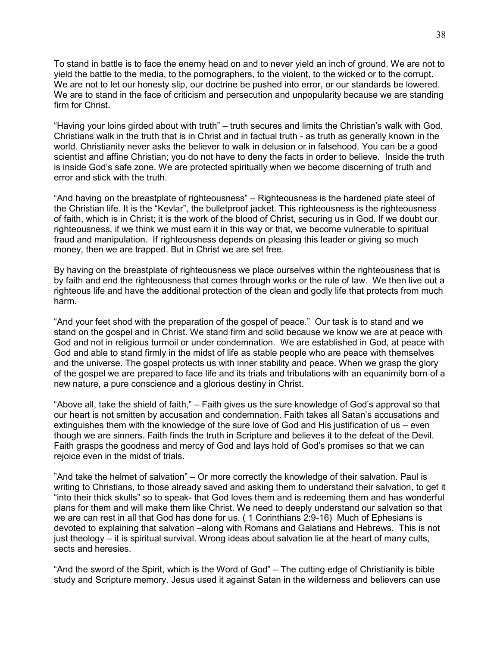To stand in battle is to face the enemy head on and to never yield an inch of ground. We are not to yield the battle to the media, to the pornographers, to the violent, to the wicked or to the corrupt. We are not to let our honesty slip, our doctrine be pushed into error, or our standards be lowered. We are to stand in the face of criticism and persecution and unpopularity because we are standing firm for Christ.

"Having your loins girded about with truth" – truth secures and limits the Christian"s walk with God. Christians walk in the truth that is in Christ and in factual truth - as truth as generally known in the world. Christianity never asks the believer to walk in delusion or in falsehood. You can be a good scientist and affine Christian; you do not have to deny the facts in order to believe. Inside the truth is inside God"s safe zone. We are protected spiritually when we become discerning of truth and error and stick with the truth.

"And having on the breastplate of righteousness" – Righteousness is the hardened plate steel of the Christian life. It is the "Kevlar", the bulletproof jacket. This righteousness is the righteousness of faith, which is in Christ; it is the work of the blood of Christ, securing us in God. If we doubt our righteousness, if we think we must earn it in this way or that, we become vulnerable to spiritual fraud and manipulation. If righteousness depends on pleasing this leader or giving so much money, then we are trapped. But in Christ we are set free.

By having on the breastplate of righteousness we place ourselves within the righteousness that is by faith and end the righteousness that comes through works or the rule of law. We then live out a righteous life and have the additional protection of the clean and godly life that protects from much harm.

"And your feet shod with the preparation of the gospel of peace." Our task is to stand and we stand on the gospel and in Christ. We stand firm and solid because we know we are at peace with God and not in religious turmoil or under condemnation. We are established in God, at peace with God and able to stand firmly in the midst of life as stable people who are peace with themselves and the universe. The gospel protects us with inner stability and peace. When we grasp the glory of the gospel we are prepared to face life and its trials and tribulations with an equanimity born of a new nature, a pure conscience and a glorious destiny in Christ.

"Above all, take the shield of faith," – Faith gives us the sure knowledge of God"s approval so that our heart is not smitten by accusation and condemnation. Faith takes all Satan"s accusations and extinguishes them with the knowledge of the sure love of God and His justification of us – even though we are sinners. Faith finds the truth in Scripture and believes it to the defeat of the Devil. Faith grasps the goodness and mercy of God and lays hold of God"s promises so that we can rejoice even in the midst of trials.

"And take the helmet of salvation" – Or more correctly the knowledge of their salvation. Paul is writing to Christians, to those already saved and asking them to understand their salvation, to get it "into their thick skulls" so to speak- that God loves them and is redeeming them and has wonderful plans for them and will make them like Christ. We need to deeply understand our salvation so that we are can rest in all that God has done for us. ( 1 Corinthians 2:9-16) Much of Ephesians is devoted to explaining that salvation –along with Romans and Galatians and Hebrews. This is not just theology – it is spiritual survival. Wrong ideas about salvation lie at the heart of many cults, sects and heresies.

"And the sword of the Spirit, which is the Word of God" – The cutting edge of Christianity is bible study and Scripture memory. Jesus used it against Satan in the wilderness and believers can use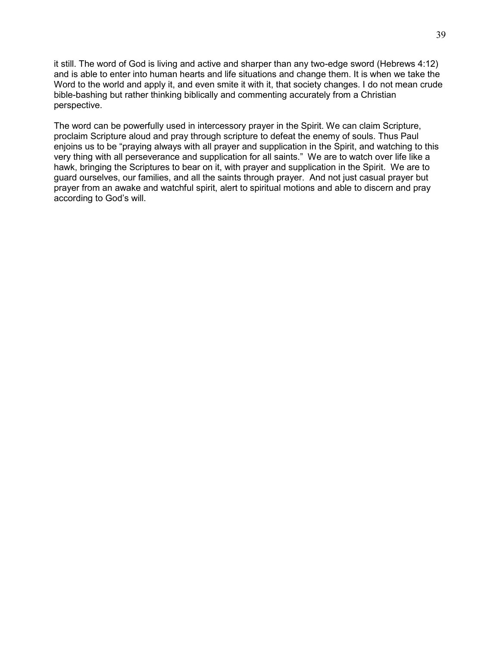it still. The word of God is living and active and sharper than any two-edge sword (Hebrews 4:12) and is able to enter into human hearts and life situations and change them. It is when we take the Word to the world and apply it, and even smite it with it, that society changes. I do not mean crude bible-bashing but rather thinking biblically and commenting accurately from a Christian perspective.

The word can be powerfully used in intercessory prayer in the Spirit. We can claim Scripture, proclaim Scripture aloud and pray through scripture to defeat the enemy of souls. Thus Paul enjoins us to be "praying always with all prayer and supplication in the Spirit, and watching to this very thing with all perseverance and supplication for all saints." We are to watch over life like a hawk, bringing the Scriptures to bear on it, with prayer and supplication in the Spirit. We are to guard ourselves, our families, and all the saints through prayer. And not just casual prayer but prayer from an awake and watchful spirit, alert to spiritual motions and able to discern and pray according to God"s will.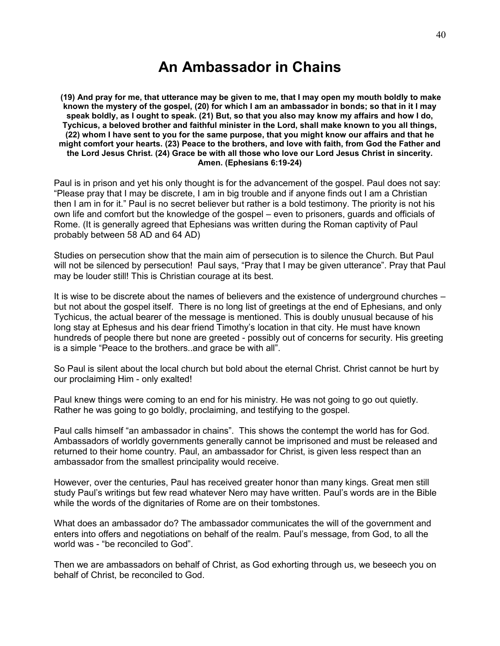# **An Ambassador in Chains**

**(19) And pray for me, that utterance may be given to me, that I may open my mouth boldly to make known the mystery of the gospel, (20) for which I am an ambassador in bonds; so that in it I may speak boldly, as I ought to speak. (21) But, so that you also may know my affairs and how I do, Tychicus, a beloved brother and faithful minister in the Lord, shall make known to you all things, (22) whom I have sent to you for the same purpose, that you might know our affairs and that he might comfort your hearts. (23) Peace to the brothers, and love with faith, from God the Father and the Lord Jesus Christ. (24) Grace be with all those who love our Lord Jesus Christ in sincerity. Amen. (Ephesians 6:19-24)**

Paul is in prison and yet his only thought is for the advancement of the gospel. Paul does not say: "Please pray that I may be discrete, I am in big trouble and if anyone finds out I am a Christian then I am in for it." Paul is no secret believer but rather is a bold testimony. The priority is not his own life and comfort but the knowledge of the gospel – even to prisoners, guards and officials of Rome. (It is generally agreed that Ephesians was written during the Roman captivity of Paul probably between 58 AD and 64 AD)

Studies on persecution show that the main aim of persecution is to silence the Church. But Paul will not be silenced by persecution! Paul says, "Pray that I may be given utterance". Pray that Paul may be louder still! This is Christian courage at its best.

It is wise to be discrete about the names of believers and the existence of underground churches – but not about the gospel itself. There is no long list of greetings at the end of Ephesians, and only Tychicus, the actual bearer of the message is mentioned. This is doubly unusual because of his long stay at Ephesus and his dear friend Timothy"s location in that city. He must have known hundreds of people there but none are greeted - possibly out of concerns for security. His greeting is a simple "Peace to the brothers..and grace be with all".

So Paul is silent about the local church but bold about the eternal Christ. Christ cannot be hurt by our proclaiming Him - only exalted!

Paul knew things were coming to an end for his ministry. He was not going to go out quietly. Rather he was going to go boldly, proclaiming, and testifying to the gospel.

Paul calls himself "an ambassador in chains". This shows the contempt the world has for God. Ambassadors of worldly governments generally cannot be imprisoned and must be released and returned to their home country. Paul, an ambassador for Christ, is given less respect than an ambassador from the smallest principality would receive.

However, over the centuries, Paul has received greater honor than many kings. Great men still study Paul"s writings but few read whatever Nero may have written. Paul"s words are in the Bible while the words of the dignitaries of Rome are on their tombstones.

What does an ambassador do? The ambassador communicates the will of the government and enters into offers and negotiations on behalf of the realm. Paul"s message, from God, to all the world was - "be reconciled to God".

Then we are ambassadors on behalf of Christ, as God exhorting through us, we beseech you on behalf of Christ, be reconciled to God.